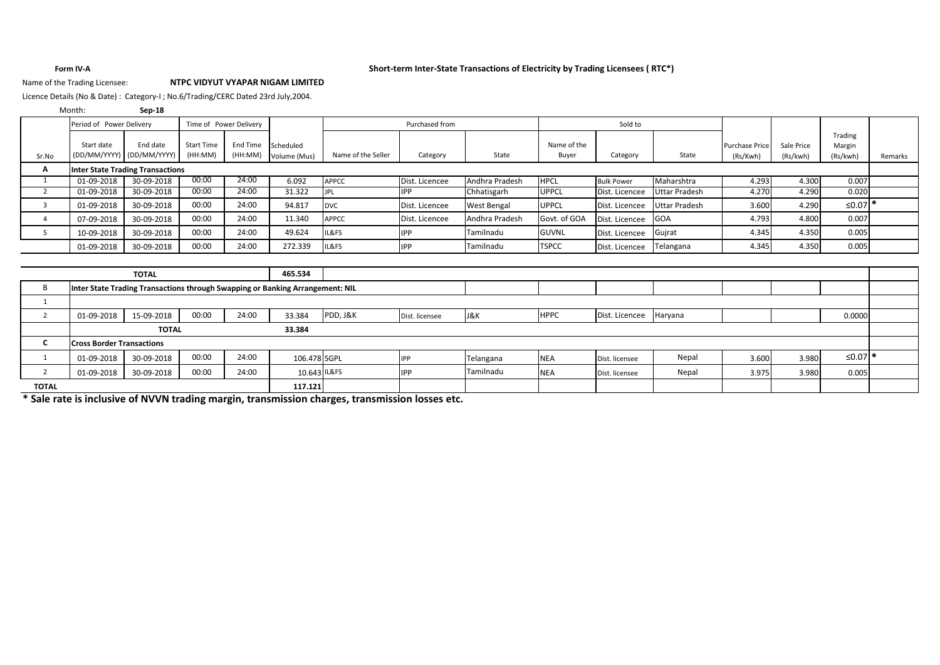#### **Form IV-A Short-term Inter-State Transactions of Electricity by Trading Licensees ( RTC\*)**

### Name of the Trading Licensee: **NTPC VIDYUT VYAPAR NIGAM LIMITED**

Licence Details (No & Date) : Category-I ; No.6/Trading/CERC Dated 23rd July,2004.

| Month: | Sep-18 |
|--------|--------|
|        |        |

|                | Period of Power Delivery<br>Time of Power Delivery                            |              |                              |                     | Purchased from |                    |                | Sold to        |              |                   |                      |                       |            |                    |         |
|----------------|-------------------------------------------------------------------------------|--------------|------------------------------|---------------------|----------------|--------------------|----------------|----------------|--------------|-------------------|----------------------|-----------------------|------------|--------------------|---------|
|                |                                                                               |              |                              |                     |                |                    |                |                |              |                   |                      |                       |            | Trading            |         |
|                | Start date<br>(DD/MM/YYYY)                                                    | End date     | <b>Start Time</b><br>(HH:MM) | End Time<br>(HH:MM) | Scheduled      | Name of the Seller |                |                | Name of the  |                   |                      | <b>Purchase Price</b> | Sale Price | Margin             |         |
| Sr.No          |                                                                               | (DD/MM/YYYY) |                              |                     | Volume (Mus)   |                    | Category       | State          | Buyer        | Category          | State                | (Rs/Kwh)              | (Rs/kwh)   | (Rs/kwh)           | Remarks |
| А              | <b>Inter State Trading Transactions</b>                                       |              |                              |                     |                |                    |                |                |              |                   |                      |                       |            |                    |         |
| 1              | 01-09-2018                                                                    | 30-09-2018   | 00:00                        | 24:00               | 6.092          | <b>APPCC</b>       | Dist. Licencee | Andhra Pradesh | <b>HPCL</b>  | <b>Bulk Power</b> | Maharshtra           | 4.293                 | 4.300      | 0.007              |         |
| 2              | 01-09-2018                                                                    | 30-09-2018   | 00:00                        | 24:00               | 31.322         | <b>JPL</b>         | <b>IPP</b>     | Chhatisgarh    | UPPCL        | Dist. Licencee    | <b>Uttar Pradesh</b> | 4.270                 | 4.290      | 0.020              |         |
| $\overline{3}$ | 01-09-2018                                                                    | 30-09-2018   | 00:00                        | 24:00               | 94.817         | <b>DVC</b>         | Dist. Licencee | West Bengal    | <b>UPPCL</b> | Dist. Licencee    | <b>Uttar Pradesh</b> | 3.600                 | 4.290      | ≤0.07 <sup>*</sup> |         |
| $\overline{4}$ | 07-09-2018                                                                    | 30-09-2018   | 00:00                        | 24:00               | 11.340         | <b>APPCC</b>       | Dist. Licencee | Andhra Pradesh | Govt. of GOA | Dist. Licencee    | GOA                  | 4.793                 | 4.800      | 0.007              |         |
| 5              | 10-09-2018                                                                    | 30-09-2018   | 00:00                        | 24:00               | 49.624         | IL&FS              | <b>IPP</b>     | Tamilnadu      | <b>GUVNL</b> | Dist. Licencee    | Gujrat               | 4.345                 | 4.350      | 0.005              |         |
|                | 01-09-2018                                                                    | 30-09-2018   | 00:00                        | 24:00               | 272.339        | IL&FS              | <b>IPP</b>     | Tamilnadu      | <b>TSPCC</b> | Dist. Licencee    | Telangana            | 4.345                 | 4.350      | 0.005              |         |
|                |                                                                               |              |                              |                     |                |                    |                |                |              |                   |                      |                       |            |                    |         |
|                |                                                                               | <b>TOTAL</b> |                              |                     | 465.534        |                    |                |                |              |                   |                      |                       |            |                    |         |
| B              | Inter State Trading Transactions through Swapping or Banking Arrangement: NIL |              |                              |                     |                |                    |                |                |              |                   |                      |                       |            |                    |         |
|                |                                                                               |              |                              |                     |                |                    |                |                |              |                   |                      |                       |            |                    |         |
| $\overline{2}$ | 01-09-2018                                                                    | 15-09-2018   | 00:00                        | 24:00               | 33.384         | PDD, J&K           | Dist. licensee | J&K            | HPPC         | Dist. Licencee    | Haryana              |                       |            | 0.0000             |         |
|                |                                                                               | <b>TOTAL</b> |                              |                     | 33.384         |                    |                |                |              |                   |                      |                       |            |                    |         |
| C              | <b>Cross Border Transactions</b>                                              |              |                              |                     |                |                    |                |                |              |                   |                      |                       |            |                    |         |
| 1              | 01-09-2018                                                                    | 30-09-2018   | 00:00                        | 24:00               | 106.478 SGPL   |                    | <b>IPP</b>     | Telangana      | <b>NEA</b>   | Dist. licensee    | Nepal                | 3.600                 | 3.980      | ≤0.07 <sup>*</sup> |         |
| $\overline{2}$ | 01-09-2018                                                                    | 30-09-2018   | 00:00                        | 24:00               | 10.643 IL&FS   |                    | <b>IPP</b>     | Tamilnadu      | NEA          | Dist. licensee    | Nepal                | 3.975                 | 3.980      | 0.005              |         |
| <b>TOTAL</b>   |                                                                               |              |                              |                     | 117.121        |                    |                |                |              |                   |                      |                       |            |                    |         |

**\* Sale rate is inclusive of NVVN trading margin, transmission charges, transmission losses etc.**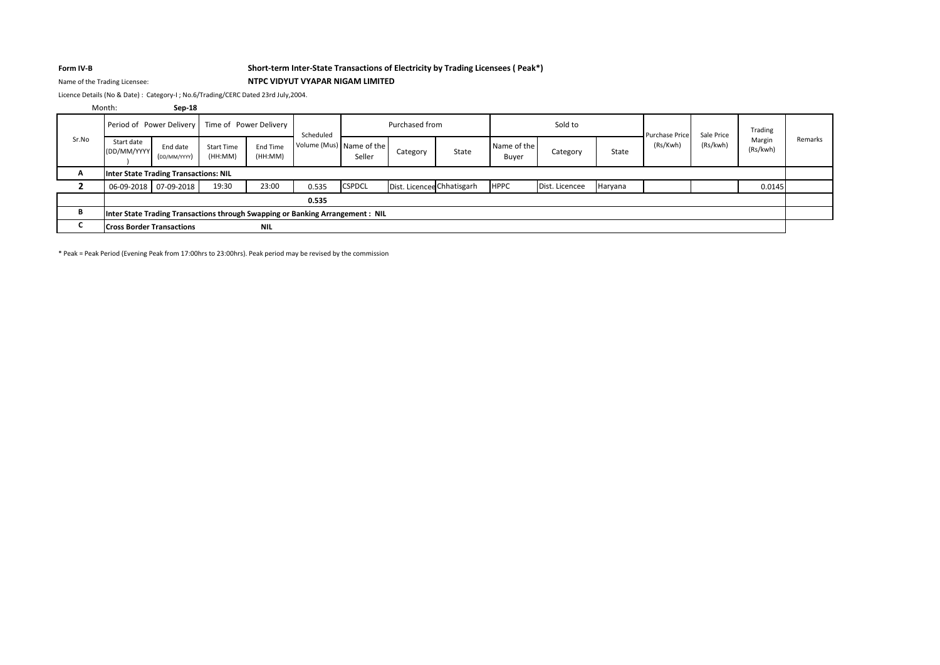### **Form IV-B Short-term Inter-State Transactions of Electricity by Trading Licensees ( Peak\*)**

### Name of the Trading Licensee: **NTPC VIDYUT VYAPAR NIGAM LIMITED**

Licence Details (No & Date) : Category-I ; No.6/Trading/CERC Dated 23rd July,2004.

#### **Sep-18** Month:

|       | Period of Power Delivery                                                      |                          |                              | Time of Power Delivery<br>Scheduled |                          |               | Purchased from             |       | Sold to              |                |         | <b>Purchase Price</b> | Sale Price | Trading            |         |
|-------|-------------------------------------------------------------------------------|--------------------------|------------------------------|-------------------------------------|--------------------------|---------------|----------------------------|-------|----------------------|----------------|---------|-----------------------|------------|--------------------|---------|
| Sr.No | Start date<br>(DD/MM/YYYY                                                     | End date<br>(DD/MM/YYYY) | <b>Start Time</b><br>(HH:MM) | End Time<br>(HH:MM)                 | Volume (Mus) Name of the | Seller        | Category                   | State | Name of the<br>Buyer | Category       | State   | (Rs/Kwh)              | (Rs/kwh)   | Margin<br>(Rs/kwh) | Remarks |
| A     | Inter State Trading Transactions: NIL                                         |                          |                              |                                     |                          |               |                            |       |                      |                |         |                       |            |                    |         |
|       |                                                                               | 06-09-2018 07-09-2018    | 19:30                        | 23:00                               | 0.535                    | <b>CSPDCL</b> | Dist. Licencee Chhatisgarh |       | <b>HPPC</b>          | Dist. Licencee | Haryana |                       |            | 0.0145             |         |
|       |                                                                               |                          |                              |                                     | 0.535                    |               |                            |       |                      |                |         |                       |            |                    |         |
| в     | Inter State Trading Transactions through Swapping or Banking Arrangement: NIL |                          |                              |                                     |                          |               |                            |       |                      |                |         |                       |            |                    |         |
|       | <b>NIL</b><br><b>Cross Border Transactions</b>                                |                          |                              |                                     |                          |               |                            |       |                      |                |         |                       |            |                    |         |

\* Peak = Peak Period (Evening Peak from 17:00hrs to 23:00hrs). Peak period may be revised by the commission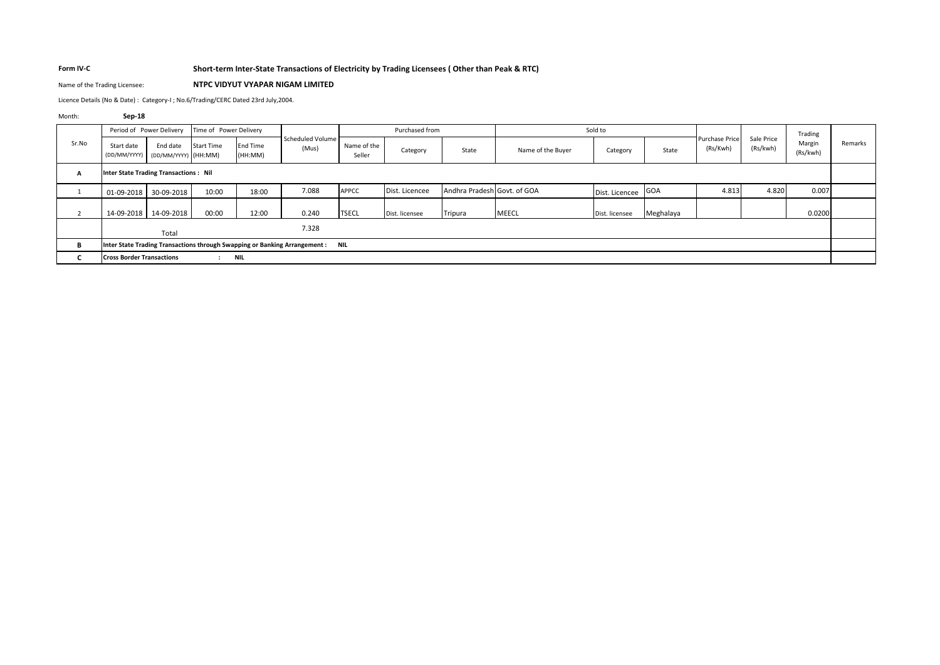### **Form IV-C Short-term Inter-State Transactions of Electricity by Trading Licensees ( Other than Peak & RTC)**

## Name of the Trading Licensee: **NTPC VIDYUT VYAPAR NIGAM LIMITED**

Licence Details (No & Date) : Category-I ; No.6/Trading/CERC Dated 23rd July,2004.

#### Month: **Sep-18**

|                                                                                     | Period of Power Delivery                        |            | Time of Power Delivery |                     |                           | Purchased from        |                |                             | Sold to           |                    |           | <b>Purchase Price</b> |                        | Trading            |         |
|-------------------------------------------------------------------------------------|-------------------------------------------------|------------|------------------------|---------------------|---------------------------|-----------------------|----------------|-----------------------------|-------------------|--------------------|-----------|-----------------------|------------------------|--------------------|---------|
| Sr.No                                                                               | Start date<br>(DD/MM/YYYY) (DD/MM/YYYY) (HH:MM) | End date   | <b>Start Time</b>      | End Time<br>(HH:MM) | Scheduled Volume<br>(Mus) | Name of the<br>Seller | Category       | State                       | Name of the Buver | Category           | State     | (Rs/Kwh)              | Sale Price<br>(Rs/kwh) | Margin<br>(Rs/kwh) | Remarks |
| A                                                                                   | <b>Inter State Trading Transactions: Nil</b>    |            |                        |                     |                           |                       |                |                             |                   |                    |           |                       |                        |                    |         |
|                                                                                     | 01-09-2018                                      | 30-09-2018 | 10:00                  | 18:00               | 7.088                     | APPCC                 | Dist. Licencee | Andhra Pradesh Govt. of GOA |                   | Dist. Licencee GOA |           | 4.813                 | 4.820                  | 0.007              |         |
| $\overline{ }$<br>$\epsilon$                                                        | 14-09-2018                                      | 14-09-2018 | 00:00                  | 12:00               | 0.240                     | <b>TSECL</b>          | Dist. licensee | Tripura                     | <b>MEECL</b>      | Dist. licensee     | Meghalaya |                       |                        | 0.0200             |         |
|                                                                                     |                                                 | Total      |                        |                     | 7.328                     |                       |                |                             |                   |                    |           |                       |                        |                    |         |
| В<br>Inter State Trading Transactions through Swapping or Banking Arrangement : NIL |                                                 |            |                        |                     |                           |                       |                |                             |                   |                    |           |                       |                        |                    |         |
|                                                                                     | <b>Cross Border Transactions</b><br><b>NIL</b>  |            |                        |                     |                           |                       |                |                             |                   |                    |           |                       |                        |                    |         |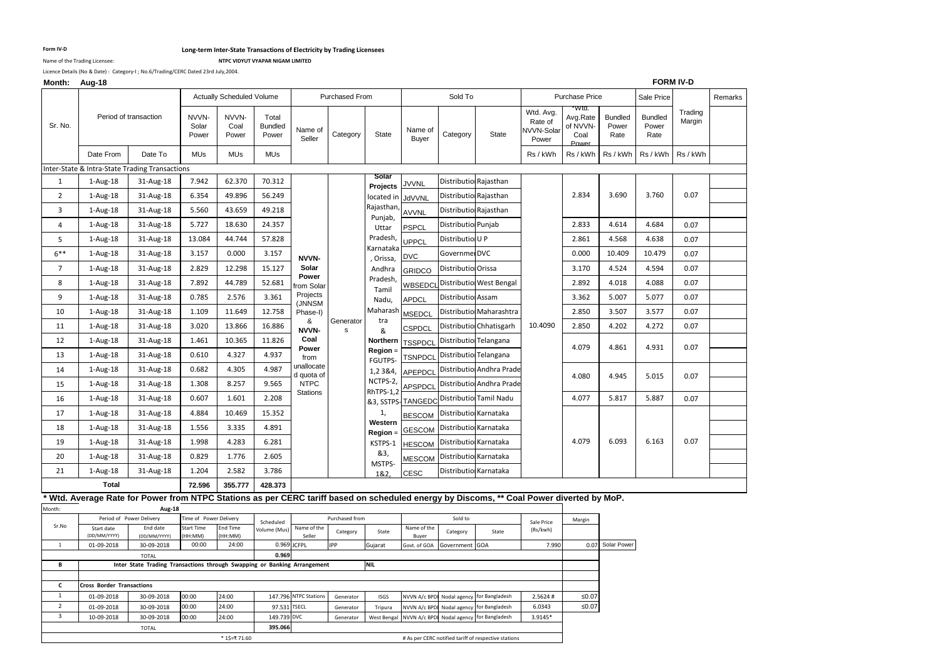#### **Form IV-D Long-term Inter-State Transactions of Electricity by Trading Licensees**

Name of the Trading Licensee: **NTPC VIDYUT VYAPAR NIGAM LIMITED**

Licence Details (No & Date) : Category-I ; No.6/Trading/CERC Dated 23rd July,2004.

### **Month: Aug-18**

### **FORM IV-D**

| MONUL Aug-10        |                                                                                                                                        |                                                                          |                         |                                  |                                  |                          |                       |                        |                           |                            |                                                             |                                                    |                                       |                                 |                                 | ש־יו ויורוש ו     |         |
|---------------------|----------------------------------------------------------------------------------------------------------------------------------------|--------------------------------------------------------------------------|-------------------------|----------------------------------|----------------------------------|--------------------------|-----------------------|------------------------|---------------------------|----------------------------|-------------------------------------------------------------|----------------------------------------------------|---------------------------------------|---------------------------------|---------------------------------|-------------------|---------|
|                     |                                                                                                                                        |                                                                          |                         | <b>Actually Scheduled Volume</b> |                                  |                          | <b>Purchased From</b> |                        |                           | Sold To                    |                                                             |                                                    | Purchase Price                        |                                 | Sale Price                      |                   | Remarks |
| Sr. No.             |                                                                                                                                        | Period of transaction                                                    | NVVN-<br>Solar<br>Power | NVVN-<br>Coal<br>Power           | Total<br><b>Bundled</b><br>Power | Name of<br>Seller        | Category              | State                  | Name of<br>Buyer          | Category                   | State                                                       | Wtd. Avg.<br>Rate of<br><b>NVVN-Solar</b><br>Power | Avg.Rate<br>of NVVN-<br>Coal<br>Power | <b>Bundled</b><br>Power<br>Rate | <b>Bundled</b><br>Power<br>Rate | Trading<br>Margin |         |
|                     | Date From                                                                                                                              | Date To                                                                  | <b>MUs</b>              | <b>MUs</b>                       | MUs                              |                          |                       |                        |                           |                            |                                                             | Rs / kWh                                           | Rs / kWh                              | Rs / kWh                        | Rs / kWh                        | Rs / kWh          |         |
|                     | Inter-State & Intra-State Trading Transactions                                                                                         |                                                                          |                         |                                  |                                  |                          |                       |                        |                           |                            |                                                             |                                                    |                                       |                                 |                                 |                   |         |
| 1                   | $1-Aug-18$                                                                                                                             | 31-Aug-18                                                                | 7.942                   | 62.370                           | 70.312                           |                          |                       | Solar<br>Projects      | <b>JVVNL</b>              |                            | Distributio Rajasthan                                       |                                                    |                                       |                                 |                                 |                   |         |
| $\overline{2}$      | 1-Aug-18                                                                                                                               | 31-Aug-18                                                                | 6.354                   | 49.896                           | 56.249                           |                          |                       | located in             | JdVVNL                    |                            | Distributio Rajasthan                                       |                                                    | 2.834                                 | 3.690                           | 3.760                           | 0.07              |         |
| 3                   | $1-Aug-18$                                                                                                                             | 31-Aug-18                                                                | 5.560                   | 43.659                           | 49.218                           |                          |                       | Rajasthan,             | <b>AVVNL</b>              |                            | Distributio Rajasthan                                       |                                                    |                                       |                                 |                                 |                   |         |
| 4                   | $1-Aug-18$                                                                                                                             | 31-Aug-18                                                                | 5.727                   | 18.630                           | 24.357                           |                          |                       | Punjab,<br>Uttar       | <b>PSPCL</b>              | Distributio Punjab         |                                                             |                                                    | 2.833                                 | 4.614                           | 4.684                           | 0.07              |         |
| 5                   | $1-Aug-18$                                                                                                                             | 31-Aug-18                                                                | 13.084                  | 44.744                           | 57.828                           |                          |                       | Pradesh,               | UPPCL                     | Distribution U P           |                                                             |                                                    | 2.861                                 | 4.568                           | 4.638                           | 0.07              |         |
| $6***$              | $1-Aug-18$                                                                                                                             | 31-Aug-18                                                                | 3.157                   | 0.000                            | 3.157                            | NVVN-                    |                       | Karnataka<br>, Orissa, | <b>DVC</b>                | Governmer DVC              |                                                             |                                                    | 0.000                                 | 10.409                          | 10.479                          | 0.07              |         |
| $\overline{7}$      | $1-Aug-18$                                                                                                                             | 31-Aug-18                                                                | 2.829                   | 12.298                           | 15.127                           | Solar                    |                       | Andhra                 | <b>GRIDCO</b>             | <b>Distributiol Orissa</b> |                                                             |                                                    | 3.170                                 | 4.524                           | 4.594                           | 0.07              |         |
| 8                   | $1-Aug-18$                                                                                                                             | 31-Aug-18                                                                | 7.892                   | 44.789                           | 52.681                           | Power<br>rom Solar       |                       | Pradesh,<br>Tamil      | WBSEDCL                   |                            | <b>Distributiol West Bengal</b>                             |                                                    | 2.892                                 | 4.018                           | 4.088                           | 0.07              |         |
| 9                   | 1-Aug-18                                                                                                                               | 31-Aug-18                                                                | 0.785                   | 2.576                            | 3.361                            | Projects<br>(JNNSM       |                       | Nadu,                  | <b>APDCL</b>              | Distributiol Assam         |                                                             |                                                    | 3.362                                 | 5.007                           | 5.077                           | 0.07              |         |
| 10                  | $1-Aug-18$                                                                                                                             | 31-Aug-18                                                                | 1.109                   | 11.649                           | 12.758                           | Phase-I)                 |                       | Maharash               | <b>MSEDCL</b>             |                            | Distributio Maharashtra                                     |                                                    | 2.850                                 | 3.507                           | 3.577                           | 0.07              |         |
| 11                  | $1-Aug-18$                                                                                                                             | 31-Aug-18                                                                | 3.020                   | 13.866                           | 16.886                           | &<br>NVVN-               | Generator<br>s        | tra<br>&               | CSPDCL                    |                            | Distributio Chhatisgarh                                     | 10.4090                                            | 2.850                                 | 4.202                           | 4.272                           | 0.07              |         |
| 12                  | $1-Aug-18$                                                                                                                             | 31-Aug-18                                                                | 1.461                   | 10.365                           | 11.826                           | Coal                     |                       | Northern               | <b>TSSPDCL</b>            |                            | Distributio Telangana                                       |                                                    | 4.079                                 | 4.861                           | 4.931                           | 0.07              |         |
| 13                  | $1-Aug-18$                                                                                                                             | 31-Aug-18                                                                | 0.610                   | 4.327                            | 4.937                            | Power<br>from            |                       | Region =<br>FGUTPS-    | <b>TSNPDCL</b>            | Distributio                | Telangana                                                   |                                                    |                                       |                                 |                                 |                   |         |
| 14                  | $1-Aug-18$                                                                                                                             | 31-Aug-18                                                                | 0.682                   | 4.305                            | 4.987                            | unallocate<br>d quota of |                       | 1,2 3 & 4,             | APEPDCL                   |                            | Distributio Andhra Prade                                    |                                                    | 4.080                                 | 4.945                           | 5.015                           | 0.07              |         |
| 15                  | $1-Aug-18$                                                                                                                             | 31-Aug-18                                                                | 1.308                   | 8.257                            | 9.565                            | <b>NTPC</b>              |                       | NCTPS-2,               | APSPDCL                   |                            | Distributio Andhra Prade                                    |                                                    |                                       |                                 |                                 |                   |         |
| 16                  | 1-Aug-18                                                                                                                               | 31-Aug-18                                                                | 0.607                   | 1.601                            | 2.208                            | <b>Stations</b>          |                       | RhTPS-1,2              | &3, SSTPS- <b>TANGEDC</b> |                            | Distributio Tamil Nadu                                      |                                                    | 4.077                                 | 5.817                           | 5.887                           | 0.07              |         |
| 17                  | $1-Aug-18$                                                                                                                             | 31-Aug-18                                                                | 4.884                   | 10.469                           | 15.352                           |                          |                       | 1,                     | <b>BESCOM</b>             |                            | Distributio Karnataka                                       |                                                    |                                       |                                 |                                 |                   |         |
| 18                  | 1-Aug-18                                                                                                                               | 31-Aug-18                                                                | 1.556                   | 3.335                            | 4.891                            |                          |                       | Western<br>Region =    | <b>GESCOM</b>             |                            | Distributio Karnataka                                       |                                                    |                                       |                                 |                                 |                   |         |
| 19                  | 1-Aug-18                                                                                                                               | 31-Aug-18                                                                | 1.998                   | 4.283                            | 6.281                            |                          |                       | KSTPS-1                | <b>HESCOM</b>             |                            | Distributio Karnataka                                       |                                                    | 4.079                                 | 6.093                           | 6.163                           | 0.07              |         |
| 20                  | $1-Aug-18$                                                                                                                             | 31-Aug-18                                                                | 0.829                   | 1.776                            | 2.605                            |                          |                       | &3,                    | <b>MESCOM</b>             |                            | Distributio Karnataka                                       |                                                    |                                       |                                 |                                 |                   |         |
| 21                  | 1-Aug-18                                                                                                                               | 31-Aug-18                                                                | 1.204                   | 2.582                            | 3.786                            |                          |                       | MSTPS-<br>1&2          | <b>CESC</b>               |                            | Distributio Karnataka                                       |                                                    |                                       |                                 |                                 |                   |         |
|                     | <b>Total</b>                                                                                                                           |                                                                          | 72.596                  | 355.777                          | 428.373                          |                          |                       |                        |                           |                            |                                                             |                                                    |                                       |                                 |                                 |                   |         |
|                     | Wtd. Average Rate for Power from NTPC Stations as per CERC tariff based on scheduled energy by Discoms, ** Coal Power diverted by MoP. |                                                                          |                         |                                  |                                  |                          |                       |                        |                           |                            |                                                             |                                                    |                                       |                                 |                                 |                   |         |
| Month:              |                                                                                                                                        | Aug-18<br>Period of Power Delivery                                       | Time of Power Delivery  |                                  |                                  |                          | Purchased from        |                        |                           | Sold to                    |                                                             |                                                    |                                       |                                 |                                 |                   |         |
| Sr.No               | Start date                                                                                                                             | End date                                                                 | <b>Start Time</b>       | End Time                         | Scheduled<br>Volume (Mus)        | Name of the              | Category              | State                  | Name of the               | Category                   | State                                                       | Sale Price<br>(Rs/kwh)                             | Margin                                |                                 |                                 |                   |         |
| $\,$ 1 $\,$         | (DD/MM/YYYY)<br>01-09-2018                                                                                                             | (DD/MM/YYYY)<br>30-09-2018                                               | (HH:MM)<br>00:00        | HH:MM)<br>24:00                  | 0.969                            | Seller<br><b>ICFPL</b>   | <b>IPP</b>            | Gujarat                | Buyer<br>Govt. of GOA     | Government GOA             |                                                             | 7.990                                              |                                       | 0.07 Solar Power                |                                 |                   |         |
|                     |                                                                                                                                        | <b>TOTAL</b>                                                             |                         |                                  | 0.969                            |                          |                       |                        |                           |                            |                                                             |                                                    |                                       |                                 |                                 |                   |         |
| B                   |                                                                                                                                        | Inter State Trading Transactions through Swapping or Banking Arrangement |                         |                                  |                                  |                          |                       | <b>NIL</b>             |                           |                            |                                                             |                                                    |                                       |                                 |                                 |                   |         |
| c                   | <b>Cross Border Transactions</b>                                                                                                       |                                                                          |                         |                                  |                                  |                          |                       |                        |                           |                            |                                                             |                                                    |                                       |                                 |                                 |                   |         |
| $\mathbf{1}$        | 01-09-2018                                                                                                                             | 30-09-2018                                                               | 00:00                   | 24:00                            |                                  | 147.796 NTPC Stations    | Generator             | ISGS                   | NVVN A/c BPDI             | Nodal agency               | for Bangladesh                                              | 2.5624#                                            | $≤0.07$                               |                                 |                                 |                   |         |
| $\overline{2}$<br>3 | 01-09-2018<br>10-09-2018                                                                                                               | 30-09-2018<br>30-09-2018                                                 | 00:00<br>00:00          | 24:00<br>24:00                   | 97.531 TSECL<br>149.739 DVC      |                          | Generator             | Tripura                |                           | NVVN A/c BPDI Nodal agency | for Bangladesh<br>NVVN A/c BPDI Nodal agency for Bangladesh | 6.0343<br>3.9145*                                  | $≤0.07$                               |                                 |                                 |                   |         |
|                     |                                                                                                                                        | <b>TOTAL</b>                                                             |                         |                                  | 395.066                          |                          | Generator             | West Bengal            |                           |                            |                                                             |                                                    |                                       |                                 |                                 |                   |         |
|                     |                                                                                                                                        |                                                                          |                         | * 1\$=₹ 71.60                    |                                  |                          |                       |                        |                           |                            | # As per CERC notified tariff of respective stations        |                                                    |                                       |                                 |                                 |                   |         |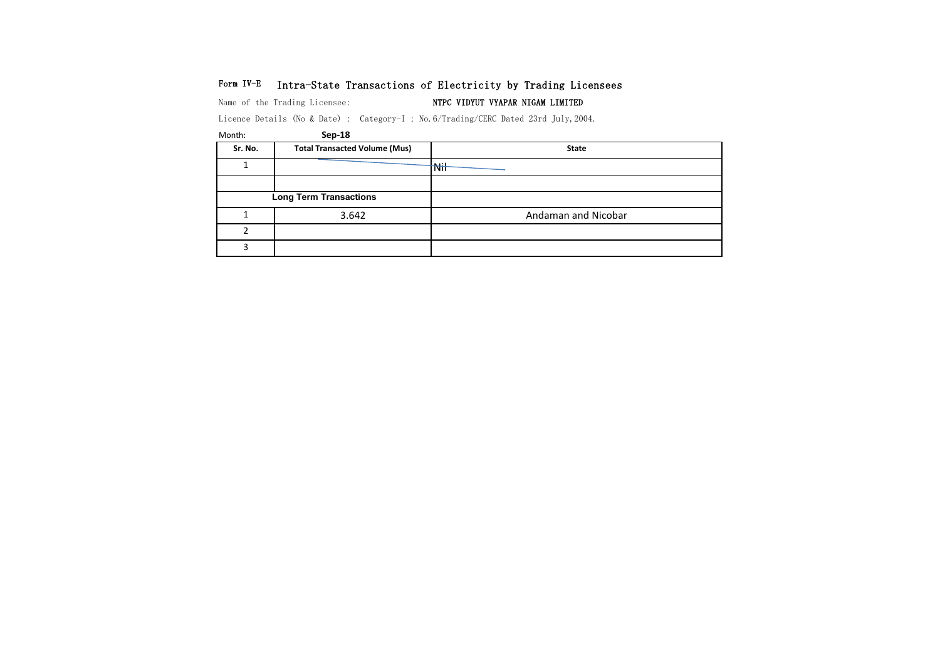## Form IV-E Intra-State Transactions of Electricity by Trading Licensees

Name of the Trading Licensee: NTPC VIDYUT VYAPAR NIGAM LIMITED

Licence Details (No & Date) : Category-I ; No.6/Trading/CERC Dated 23rd July,2004.

| Sr. No. | <b>Total Transacted Volume (Mus)</b> | <b>State</b>        |
|---------|--------------------------------------|---------------------|
|         |                                      | Nil                 |
|         |                                      |                     |
|         | <b>Long Term Transactions</b>        |                     |
|         | 3.642                                | Andaman and Nicobar |
|         |                                      |                     |
|         |                                      |                     |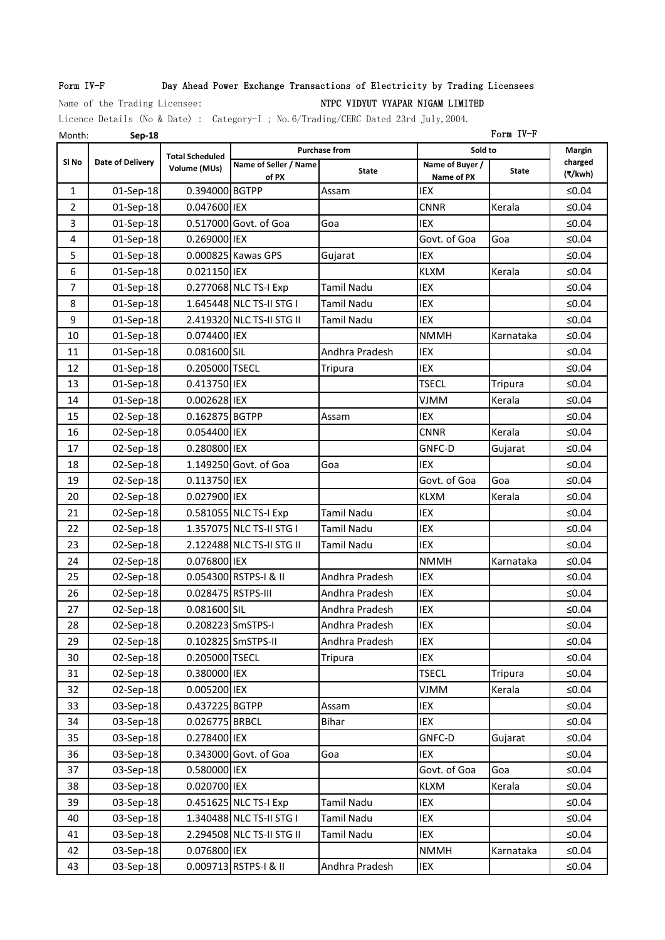## Form IV-F Day Ahead Power Exchange Transactions of Electricity by Trading Licensees

## Name of the Trading Licensee: Name of the Trading Licensee: NTPC VIDYUT VYAPAR NIGAM LIMITED

Licence Details (No & Date) : Category-I ; No.6/Trading/CERC Dated 23rd July,2004.

| Month:           | Sep-18                  |                        | Form IV-F                 |                      |                          |              |                    |  |  |
|------------------|-------------------------|------------------------|---------------------------|----------------------|--------------------------|--------------|--------------------|--|--|
|                  |                         | <b>Total Scheduled</b> |                           | <b>Purchase from</b> | Sold to                  |              | Margin             |  |  |
| SI <sub>No</sub> | <b>Date of Delivery</b> | Volume (MUs)           | Name of Seller / Name     | <b>State</b>         | Name of Buyer /          | <b>State</b> | charged<br>(₹/kwh) |  |  |
| 1                | 01-Sep-18               | 0.394000 BGTPP         | of PX                     | Assam                | Name of PX<br><b>IEX</b> |              | ≤ $0.04$           |  |  |
| $\overline{2}$   | 01-Sep-18               | 0.047600 IEX           |                           |                      | <b>CNNR</b>              | Kerala       | ≤ $0.04$           |  |  |
| 3                | 01-Sep-18               |                        | 0.517000 Govt. of Goa     | Goa                  | <b>IEX</b>               |              | ≤ $0.04$           |  |  |
|                  |                         | 0.269000 IEX           |                           |                      | Govt. of Goa             |              |                    |  |  |
| 4                | 01-Sep-18               |                        |                           |                      | IEX                      | Goa          | ≤ $0.04$           |  |  |
| 5                | 01-Sep-18               |                        | 0.000825 Kawas GPS        | Gujarat              |                          |              | ≤0.04              |  |  |
| 6                | 01-Sep-18               | 0.021150 IEX           |                           | <b>Tamil Nadu</b>    | <b>KLXM</b>              | Kerala       | ≤ $0.04$           |  |  |
| $\overline{7}$   | 01-Sep-18               |                        | 0.277068 NLC TS-I Exp     |                      | IEX                      |              | ≤ $0.04$           |  |  |
| 8                | 01-Sep-18               |                        | 1.645448 NLC TS-II STG I  | <b>Tamil Nadu</b>    | <b>IEX</b>               |              | $≤0.04$            |  |  |
| 9                | 01-Sep-18               |                        | 2.419320 NLC TS-II STG II | Tamil Nadu           | IEX                      |              | ≤ $0.04$           |  |  |
| 10               | 01-Sep-18               | 0.074400 IEX           |                           |                      | <b>NMMH</b>              | Karnataka    | ≤0.04              |  |  |
| 11               | 01-Sep-18               | 0.081600 SIL           |                           | Andhra Pradesh       | IEX                      |              | ≤ $0.04$           |  |  |
| 12               | 01-Sep-18               | 0.205000 TSECL         |                           | Tripura              | IEX                      |              | ≤ $0.04$           |  |  |
| 13               | 01-Sep-18               | 0.413750 IEX           |                           |                      | <b>TSECL</b>             | Tripura      | ≤ $0.04$           |  |  |
| 14               | 01-Sep-18               | 0.002628 IEX           |                           |                      | <b>VJMM</b>              | Kerala       | ≤ $0.04$           |  |  |
| 15               | 02-Sep-18               | 0.162875 BGTPP         |                           | Assam                | <b>IEX</b>               |              | ≤0.04              |  |  |
| 16               | 02-Sep-18               | 0.054400 IEX           |                           |                      | <b>CNNR</b>              | Kerala       | ≤ $0.04$           |  |  |
| 17               | 02-Sep-18               | 0.280800 IEX           |                           |                      | GNFC-D                   | Gujarat      | ≤ $0.04$           |  |  |
| 18               | 02-Sep-18               |                        | 1.149250 Govt. of Goa     | Goa                  | IEX                      |              | ≤0.04              |  |  |
| 19               | 02-Sep-18               | 0.113750 IEX           |                           |                      | Govt. of Goa             | Goa          | ≤ $0.04$           |  |  |
| 20               | 02-Sep-18               | 0.027900 IEX           |                           |                      | <b>KLXM</b>              | Kerala       | ≤0.04              |  |  |
| 21               | 02-Sep-18               |                        | 0.581055 NLC TS-I Exp     | Tamil Nadu           | IEX                      |              | ≤ $0.04$           |  |  |
| 22               | 02-Sep-18               |                        | 1.357075 NLC TS-II STG I  | <b>Tamil Nadu</b>    | IEX                      |              | ≤ $0.04$           |  |  |
| 23               | 02-Sep-18               |                        | 2.122488 NLC TS-II STG II | Tamil Nadu           | <b>IEX</b>               |              | ≤ $0.04$           |  |  |
| 24               | 02-Sep-18               | 0.076800 IEX           |                           |                      | <b>NMMH</b>              | Karnataka    | ≤ $0.04$           |  |  |
| 25               | 02-Sep-18               |                        | 0.054300 RSTPS-I & II     | Andhra Pradesh       | IEX                      |              | ≤0.04              |  |  |
| 26               | 02-Sep-18               | 0.028475 RSTPS-III     |                           | Andhra Pradesh       | <b>IEX</b>               |              | ≤ $0.04$           |  |  |
| 27               | 02-Sep-18               | 0.081600 SIL           |                           | Andhra Pradesh       | IEX                      |              | $≤0.04$            |  |  |
| 28               | 02-Sep-18               | 0.208223 SmSTPS-I      |                           | Andhra Pradesh       | <b>IEX</b>               |              | $≤0.04$            |  |  |
| 29               | 02-Sep-18               |                        | 0.102825 SmSTPS-II        | Andhra Pradesh       | IEX                      |              | $≤0.04$            |  |  |
| 30               | 02-Sep-18               | 0.205000 TSECL         |                           | Tripura              | IEX                      |              | $≤0.04$            |  |  |
| 31               | 02-Sep-18               | 0.380000 IEX           |                           |                      | <b>TSECL</b>             | Tripura      | $≤0.04$            |  |  |
| 32               | 02-Sep-18               | 0.005200 IEX           |                           |                      | <b>VJMM</b>              | Kerala       | $≤0.04$            |  |  |
| 33               | 03-Sep-18               | 0.437225 BGTPP         |                           | Assam                | IEX                      |              | $≤0.04$            |  |  |
| 34               | 03-Sep-18               | 0.026775 BRBCL         |                           | <b>Bihar</b>         | IEX                      |              | $≤0.04$            |  |  |
| 35               | 03-Sep-18               | 0.278400 IEX           |                           |                      | GNFC-D                   | Gujarat      | $≤0.04$            |  |  |
| 36               | 03-Sep-18               |                        | 0.343000 Govt. of Goa     | Goa                  | IEX                      |              | $≤0.04$            |  |  |
| 37               | 03-Sep-18               | 0.580000 IEX           |                           |                      | Govt. of Goa             | Goa          | $≤0.04$            |  |  |
| 38               | 03-Sep-18               | 0.020700 IEX           |                           |                      | <b>KLXM</b>              | Kerala       | ≤ $0.04$           |  |  |
| 39               | 03-Sep-18               |                        | 0.451625 NLC TS-I Exp     | Tamil Nadu           | IEX                      |              | $≤0.04$            |  |  |
| 40               | 03-Sep-18               |                        | 1.340488 NLC TS-II STG I  | <b>Tamil Nadu</b>    | IEX                      |              | $≤0.04$            |  |  |
| 41               | 03-Sep-18               |                        | 2.294508 NLC TS-II STG II | Tamil Nadu           | IEX                      |              | $≤0.04$            |  |  |
| 42               | 03-Sep-18               | 0.076800 IEX           |                           |                      | <b>NMMH</b>              | Karnataka    | $≤0.04$            |  |  |
| 43               | 03-Sep-18               |                        | 0.009713 RSTPS-I & II     | Andhra Pradesh       | IEX                      |              | $≤0.04$            |  |  |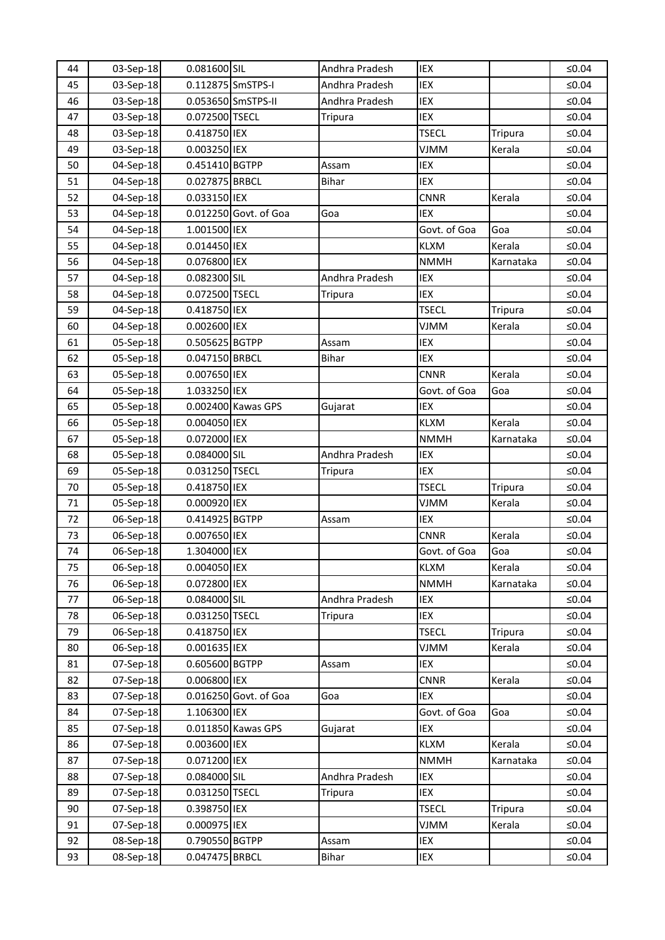| 44 | 03-Sep-18 | 0.081600 SIL      |                       | Andhra Pradesh | IEX          |                | ≤0.04    |
|----|-----------|-------------------|-----------------------|----------------|--------------|----------------|----------|
| 45 | 03-Sep-18 | 0.112875 SmSTPS-I |                       | Andhra Pradesh | IEX          |                | ≤ $0.04$ |
| 46 | 03-Sep-18 |                   | 0.053650 SmSTPS-II    | Andhra Pradesh | IEX          |                | ≤0.04    |
| 47 | 03-Sep-18 | 0.072500 TSECL    |                       | <b>Tripura</b> | IEX          |                | $≤0.04$  |
| 48 | 03-Sep-18 | 0.418750 IEX      |                       |                | <b>TSECL</b> | <b>Tripura</b> | ≤ $0.04$ |
| 49 | 03-Sep-18 | 0.003250 IEX      |                       |                | VJMM         | Kerala         | ≤ $0.04$ |
| 50 | 04-Sep-18 | 0.451410 BGTPP    |                       | Assam          | IEX          |                | ≤0.04    |
| 51 | 04-Sep-18 | 0.027875 BRBCL    |                       | <b>Bihar</b>   | IEX          |                | ≤0.04    |
| 52 | 04-Sep-18 | 0.033150 IEX      |                       |                | <b>CNNR</b>  | Kerala         | $≤0.04$  |
| 53 | 04-Sep-18 |                   | 0.012250 Govt. of Goa | Goa            | <b>IEX</b>   |                | ≤ $0.04$ |
| 54 | 04-Sep-18 | 1.001500 IEX      |                       |                | Govt. of Goa | Goa            | ≤ $0.04$ |
| 55 | 04-Sep-18 | 0.014450 IEX      |                       |                | <b>KLXM</b>  | Kerala         | ≤0.04    |
| 56 | 04-Sep-18 | 0.076800 IEX      |                       |                | <b>NMMH</b>  | Karnataka      | ≤ $0.04$ |
| 57 | 04-Sep-18 | 0.082300 SIL      |                       | Andhra Pradesh | IEX          |                | $≤0.04$  |
| 58 | 04-Sep-18 | 0.072500 TSECL    |                       | <b>Tripura</b> | <b>IEX</b>   |                | ≤ $0.04$ |
| 59 | 04-Sep-18 | 0.418750 IEX      |                       |                | <b>TSECL</b> | Tripura        | ≤ $0.04$ |
| 60 | 04-Sep-18 | 0.002600 IEX      |                       |                | VJMM         | Kerala         | ≤ $0.04$ |
| 61 | 05-Sep-18 | 0.505625 BGTPP    |                       | Assam          | IEX          |                | ≤ $0.04$ |
| 62 | 05-Sep-18 | 0.047150 BRBCL    |                       | <b>Bihar</b>   | IEX          |                | $≤0.04$  |
| 63 | 05-Sep-18 | 0.007650 IEX      |                       |                | <b>CNNR</b>  | Kerala         | ≤ $0.04$ |
| 64 | 05-Sep-18 | 1.033250 IEX      |                       |                | Govt. of Goa | Goa            | ≤ $0.04$ |
| 65 | 05-Sep-18 |                   | 0.002400 Kawas GPS    | Gujarat        | IEX          |                | ≤0.04    |
| 66 | 05-Sep-18 | 0.004050 IEX      |                       |                | <b>KLXM</b>  | Kerala         | ≤0.04    |
| 67 | 05-Sep-18 | 0.072000 IEX      |                       |                | <b>NMMH</b>  | Karnataka      | $≤0.04$  |
| 68 | 05-Sep-18 | 0.084000 SIL      |                       | Andhra Pradesh | IEX          |                | ≤ $0.04$ |
| 69 | 05-Sep-18 | 0.031250 TSECL    |                       | Tripura        | IEX          |                | ≤ $0.04$ |
| 70 | 05-Sep-18 | 0.418750 IEX      |                       |                | <b>TSECL</b> | Tripura        | ≤0.04    |
| 71 | 05-Sep-18 | 0.000920 IEX      |                       |                | <b>VJMM</b>  | Kerala         | ≤0.04    |
| 72 | 06-Sep-18 | 0.414925 BGTPP    |                       | Assam          | IEX          |                | $≤0.04$  |
| 73 | 06-Sep-18 | 0.007650 IEX      |                       |                | <b>CNNR</b>  | Kerala         | ≤ $0.04$ |
| 74 | 06-Sep-18 | 1.304000 IEX      |                       |                | Govt. of Goa | Goa            | ≤0.04    |
| 75 | 06-Sep-18 | 0.004050 IEX      |                       |                | <b>KLXM</b>  | Kerala         | $≤0.04$  |
| 76 | 06-Sep-18 | 0.072800 IEX      |                       |                | <b>NMMH</b>  | Karnataka      | ≤ $0.04$ |
| 77 | 06-Sep-18 | 0.084000 SIL      |                       | Andhra Pradesh | IEX          |                | $≤0.04$  |
| 78 | 06-Sep-18 | 0.031250 TSECL    |                       | <b>Tripura</b> | IEX          |                | ≤ $0.04$ |
| 79 | 06-Sep-18 | 0.418750 IEX      |                       |                | <b>TSECL</b> | Tripura        | ≤0.04    |
| 80 | 06-Sep-18 | 0.001635 IEX      |                       |                | <b>MMIV</b>  | Kerala         | ≤ $0.04$ |
| 81 | 07-Sep-18 | 0.605600 BGTPP    |                       | Assam          | IEX          |                | ≤ $0.04$ |
| 82 | 07-Sep-18 | 0.006800 IEX      |                       |                | CNNR         | Kerala         | $≤0.04$  |
| 83 | 07-Sep-18 |                   | 0.016250 Govt. of Goa | Goa            | IEX          |                | ≤ $0.04$ |
| 84 | 07-Sep-18 | 1.106300 IEX      |                       |                | Govt. of Goa | Goa            | ≤0.04    |
| 85 | 07-Sep-18 |                   | 0.011850 Kawas GPS    | Gujarat        | IEX          |                | $≤0.04$  |
| 86 | 07-Sep-18 | 0.003600 IEX      |                       |                | <b>KLXM</b>  | Kerala         | ≤ $0.04$ |
| 87 | 07-Sep-18 | 0.071200 IEX      |                       |                | <b>NMMH</b>  | Karnataka      | $≤0.04$  |
| 88 | 07-Sep-18 | 0.084000 SIL      |                       | Andhra Pradesh | IEX          |                | ≤ $0.04$ |
| 89 | 07-Sep-18 | 0.031250 TSECL    |                       | Tripura        | IEX          |                | $≤0.04$  |
| 90 | 07-Sep-18 | 0.398750 IEX      |                       |                | <b>TSECL</b> | <b>Tripura</b> | ≤ $0.04$ |
| 91 | 07-Sep-18 | 0.000975 IEX      |                       |                | <b>NMIV</b>  | Kerala         | ≤ $0.04$ |
| 92 | 08-Sep-18 | 0.790550 BGTPP    |                       | Assam          | IEX          |                | $≤0.04$  |
| 93 | 08-Sep-18 | 0.047475 BRBCL    |                       | <b>Bihar</b>   | IEX          |                | $≤0.04$  |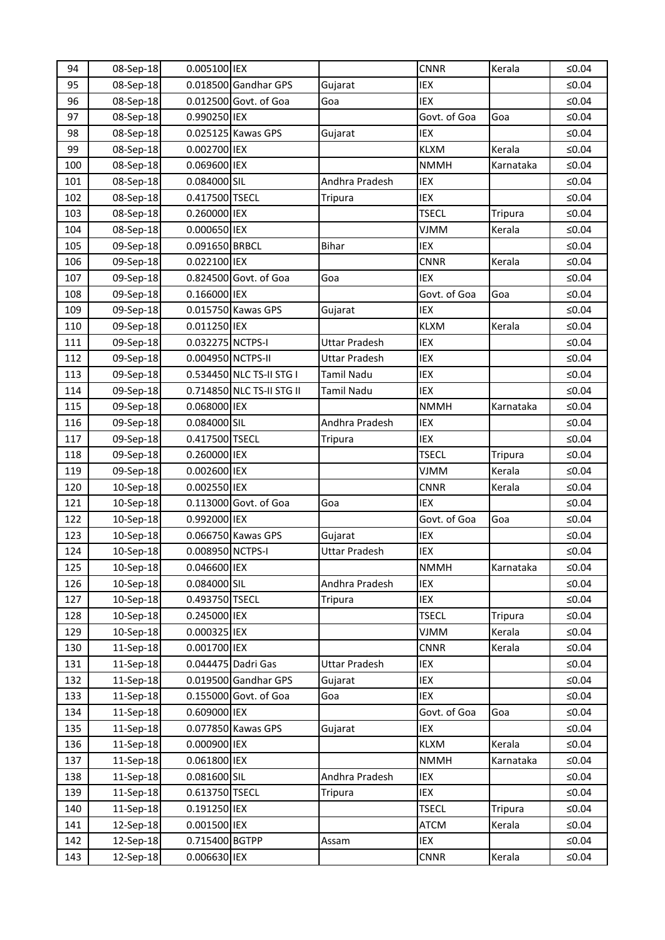| 94  | 08-Sep-18 | 0.005100 IEX      |                           |                      | <b>CNNR</b>  | Kerala         | ≤ $0.04$ |
|-----|-----------|-------------------|---------------------------|----------------------|--------------|----------------|----------|
| 95  | 08-Sep-18 |                   | 0.018500 Gandhar GPS      | Gujarat              | IEX          |                | ≤0.04    |
| 96  | 08-Sep-18 |                   | 0.012500 Govt. of Goa     | Goa                  | IEX          |                | ≤0.04    |
| 97  | 08-Sep-18 | 0.990250 IEX      |                           |                      | Govt. of Goa | Goa            | $≤0.04$  |
| 98  | 08-Sep-18 |                   | 0.025125 Kawas GPS        | Gujarat              | IEX          |                | ≤0.04    |
| 99  | 08-Sep-18 | 0.002700 IEX      |                           |                      | <b>KLXM</b>  | Kerala         | ≤ $0.04$ |
| 100 | 08-Sep-18 | 0.069600 IEX      |                           |                      | <b>NMMH</b>  | Karnataka      | ≤0.04    |
| 101 | 08-Sep-18 | 0.084000 SIL      |                           | Andhra Pradesh       | IEX          |                | ≤0.04    |
| 102 | 08-Sep-18 | 0.417500 TSECL    |                           | Tripura              | IEX          |                | $≤0.04$  |
| 103 | 08-Sep-18 | 0.260000 IEX      |                           |                      | <b>TSECL</b> | <b>Tripura</b> | ≤0.04    |
| 104 | 08-Sep-18 | 0.000650 IEX      |                           |                      | <b>VJMM</b>  | Kerala         | ≤ $0.04$ |
| 105 | 09-Sep-18 | 0.091650 BRBCL    |                           | <b>Bihar</b>         | IEX          |                | ≤0.04    |
| 106 | 09-Sep-18 | 0.022100 IEX      |                           |                      | <b>CNNR</b>  | Kerala         | ≤0.04    |
| 107 | 09-Sep-18 |                   | 0.824500 Govt. of Goa     | Goa                  | IEX          |                | ≤ $0.04$ |
| 108 | 09-Sep-18 | 0.166000 IEX      |                           |                      | Govt. of Goa | Goa            | ≤0.04    |
| 109 | 09-Sep-18 |                   | 0.015750 Kawas GPS        | Gujarat              | IEX          |                | ≤ $0.04$ |
| 110 | 09-Sep-18 | 0.011250 IEX      |                           |                      | <b>KLXM</b>  | Kerala         | ≤ $0.04$ |
| 111 | 09-Sep-18 | 0.032275 NCTPS-I  |                           | Uttar Pradesh        | IEX          |                | ≤0.04    |
| 112 | 09-Sep-18 | 0.004950 NCTPS-II |                           | <b>Uttar Pradesh</b> | IEX          |                | ≤ $0.04$ |
| 113 | 09-Sep-18 |                   | 0.534450 NLC TS-II STG I  | Tamil Nadu           | IEX          |                | ≤ $0.04$ |
| 114 | 09-Sep-18 |                   | 0.714850 NLC TS-II STG II | Tamil Nadu           | IEX          |                | ≤0.04    |
| 115 | 09-Sep-18 | 0.068000 IEX      |                           |                      | <b>NMMH</b>  | Karnataka      | ≤ $0.04$ |
| 116 | 09-Sep-18 | 0.084000 SIL      |                           | Andhra Pradesh       | IEX          |                | ≤0.04    |
| 117 | 09-Sep-18 | 0.417500 TSECL    |                           | <b>Tripura</b>       | IEX          |                | ≤ $0.04$ |
| 118 | 09-Sep-18 | 0.260000 IEX      |                           |                      | <b>TSECL</b> | <b>Tripura</b> | ≤0.04    |
| 119 | 09-Sep-18 | 0.002600 IEX      |                           |                      | <b>VJMM</b>  | Kerala         | ≤ $0.04$ |
| 120 | 10-Sep-18 | 0.002550 IEX      |                           |                      | <b>CNNR</b>  | Kerala         | ≤ $0.04$ |
| 121 | 10-Sep-18 |                   | 0.113000 Govt. of Goa     | Goa                  | IEX          |                | ≤ $0.04$ |
| 122 | 10-Sep-18 | 0.992000 IEX      |                           |                      | Govt. of Goa | Goa            | $≤0.04$  |
| 123 | 10-Sep-18 |                   | 0.066750 Kawas GPS        | Gujarat              | IEX          |                | ≤ $0.04$ |
| 124 | 10-Sep-18 | 0.008950 NCTPS-I  |                           | <b>Uttar Pradesh</b> | IEX          |                | ≤0.04    |
| 125 | 10-Sep-18 | 0.046600 IEX      |                           |                      | <b>NMMH</b>  | Karnataka      | ≤0.04    |
| 126 | 10-Sep-18 | 0.084000 SIL      |                           | Andhra Pradesh       | IEX          |                | ≤ $0.04$ |
| 127 | 10-Sep-18 | 0.493750 TSECL    |                           | <b>Tripura</b>       | IEX          |                | $≤0.04$  |
| 128 | 10-Sep-18 | 0.245000 IEX      |                           |                      | <b>TSECL</b> | <b>Tripura</b> | ≤ $0.04$ |
| 129 | 10-Sep-18 | 0.000325 IEX      |                           |                      | <b>VJMM</b>  | Kerala         | ≤0.04    |
| 130 | 11-Sep-18 | 0.001700 IEX      |                           |                      | <b>CNNR</b>  | Kerala         | ≤ $0.04$ |
| 131 | 11-Sep-18 |                   | 0.044475 Dadri Gas        | <b>Uttar Pradesh</b> | IEX          |                | ≤ $0.04$ |
| 132 | 11-Sep-18 |                   | 0.019500 Gandhar GPS      | Gujarat              | IEX          |                | $≤0.04$  |
| 133 | 11-Sep-18 |                   | 0.155000 Govt. of Goa     | Goa                  | IEX          |                | ≤ $0.04$ |
| 134 | 11-Sep-18 | 0.609000 IEX      |                           |                      | Govt. of Goa | Goa            | ≤0.04    |
| 135 | 11-Sep-18 |                   | 0.077850 Kawas GPS        | Gujarat              | IEX          |                | ≤ $0.04$ |
| 136 | 11-Sep-18 | 0.000900 IEX      |                           |                      | <b>KLXM</b>  | Kerala         | ≤ $0.04$ |
| 137 | 11-Sep-18 | 0.061800 IEX      |                           |                      | <b>NMMH</b>  | Karnataka      | $≤0.04$  |
| 138 | 11-Sep-18 | 0.081600 SIL      |                           | Andhra Pradesh       | IEX          |                | $≤0.04$  |
| 139 | 11-Sep-18 | 0.613750 TSECL    |                           | Tripura              | IEX          |                | $≤0.04$  |
| 140 | 11-Sep-18 | 0.191250 IEX      |                           |                      | <b>TSECL</b> | Tripura        | $≤0.04$  |
| 141 | 12-Sep-18 | 0.001500 IEX      |                           |                      | <b>ATCM</b>  | Kerala         | ≤0.04    |
| 142 | 12-Sep-18 | 0.715400 BGTPP    |                           | Assam                | IEX          |                | $≤0.04$  |
| 143 | 12-Sep-18 | 0.006630 IEX      |                           |                      | <b>CNNR</b>  | Kerala         | $≤0.04$  |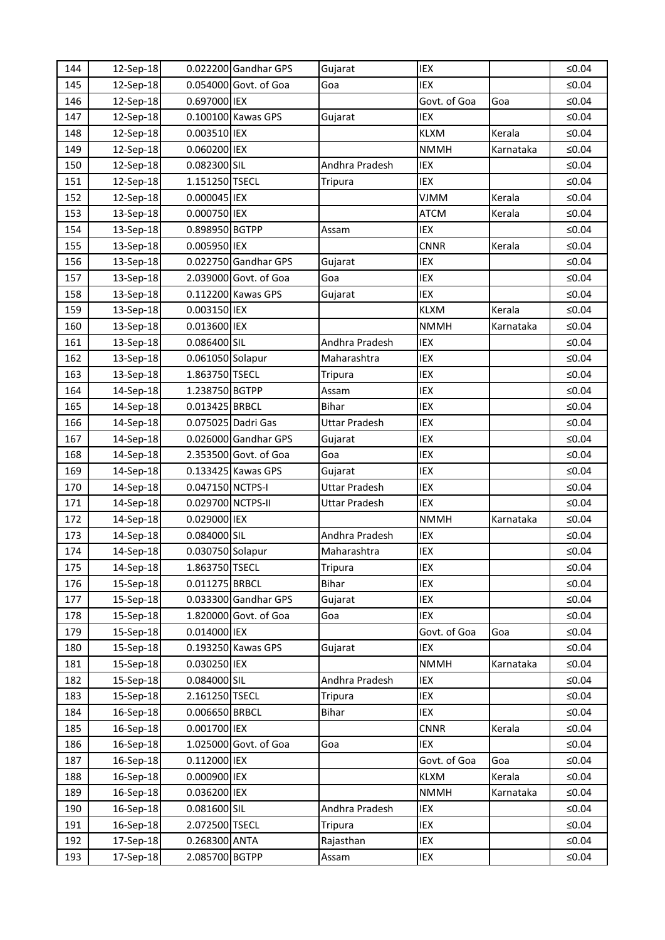| 144 | 12-Sep-18 |                   | 0.022200 Gandhar GPS  | Gujarat              | IEX          |           | ≤ $0.04$    |
|-----|-----------|-------------------|-----------------------|----------------------|--------------|-----------|-------------|
| 145 | 12-Sep-18 |                   | 0.054000 Govt. of Goa | Goa                  | IEX          |           | $≤0.04$     |
| 146 | 12-Sep-18 | 0.697000 IEX      |                       |                      | Govt. of Goa | Goa       | ≤0.04       |
| 147 | 12-Sep-18 |                   | 0.100100 Kawas GPS    | Gujarat              | IEX          |           | ≤0.04       |
| 148 | 12-Sep-18 | 0.003510 IEX      |                       |                      | <b>KLXM</b>  | Kerala    | ≤ $0.04$    |
| 149 | 12-Sep-18 | 0.060200 IEX      |                       |                      | <b>NMMH</b>  | Karnataka | ≤ $0.04$    |
| 150 | 12-Sep-18 | 0.082300 SIL      |                       | Andhra Pradesh       | IEX          |           | $\leq 0.04$ |
| 151 | 12-Sep-18 | 1.151250 TSECL    |                       | Tripura              | IEX          |           | ≤0.04       |
| 152 | 12-Sep-18 | 0.000045 IEX      |                       |                      | <b>VJMM</b>  | Kerala    | ≤0.04       |
| 153 | 13-Sep-18 | 0.000750 IEX      |                       |                      | <b>ATCM</b>  | Kerala    | ≤ $0.04$    |
| 154 | 13-Sep-18 | 0.898950 BGTPP    |                       | Assam                | IEX          |           | ≤ $0.04$    |
| 155 | 13-Sep-18 | 0.005950 IEX      |                       |                      | <b>CNNR</b>  | Kerala    | $≤0.04$     |
| 156 | 13-Sep-18 |                   | 0.022750 Gandhar GPS  | Gujarat              | IEX          |           | ≤ $0.04$    |
| 157 | 13-Sep-18 |                   | 2.039000 Govt. of Goa | Goa                  | IEX          |           | ≤0.04       |
| 158 | 13-Sep-18 |                   | 0.112200 Kawas GPS    | Gujarat              | IEX          |           | ≤ $0.04$    |
| 159 | 13-Sep-18 | 0.003150 IEX      |                       |                      | <b>KLXM</b>  | Kerala    | ≤ $0.04$    |
| 160 | 13-Sep-18 | 0.013600 IEX      |                       |                      | <b>NMMH</b>  | Karnataka | $≤0.04$     |
| 161 | 13-Sep-18 | 0.086400 SIL      |                       | Andhra Pradesh       | IEX          |           | ≤ $0.04$    |
| 162 | 13-Sep-18 | 0.061050 Solapur  |                       | Maharashtra          | IEX          |           | ≤ $0.04$    |
| 163 | 13-Sep-18 | 1.863750 TSECL    |                       | Tripura              | IEX          |           | ≤ $0.04$    |
| 164 | 14-Sep-18 | 1.238750 BGTPP    |                       | Assam                | IEX          |           | ≤ $0.04$    |
| 165 | 14-Sep-18 | 0.013425 BRBCL    |                       | <b>Bihar</b>         | IEX          |           | $≤0.04$     |
| 166 | 14-Sep-18 |                   | 0.075025 Dadri Gas    | <b>Uttar Pradesh</b> | IEX          |           | ≤ $0.04$    |
| 167 | 14-Sep-18 |                   | 0.026000 Gandhar GPS  | Gujarat              | IEX          |           | ≤ $0.04$    |
| 168 | 14-Sep-18 |                   | 2.353500 Govt. of Goa | Goa                  | IEX          |           | ≤ $0.04$    |
| 169 | 14-Sep-18 |                   | 0.133425 Kawas GPS    | Gujarat              | IEX          |           | ≤ $0.04$    |
| 170 | 14-Sep-18 | 0.047150 NCTPS-I  |                       | <b>Uttar Pradesh</b> | IEX          |           | $≤0.04$     |
| 171 | 14-Sep-18 | 0.029700 NCTPS-II |                       | Uttar Pradesh        | IEX          |           | ≤ $0.04$    |
| 172 | 14-Sep-18 | 0.029000 IEX      |                       |                      | <b>NMMH</b>  | Karnataka | ≤0.04       |
| 173 | 14-Sep-18 | 0.084000 SIL      |                       | Andhra Pradesh       | IEX          |           | $≤0.04$     |
| 174 | 14-Sep-18 | 0.030750 Solapur  |                       | Maharashtra          | IEX          |           | ≤0.04       |
| 175 | 14-Sep-18 | 1.863750 TSECL    |                       | Tripura              | IEX          |           | $≤0.04$     |
| 176 | 15-Sep-18 | 0.011275 BRBCL    |                       | <b>Bihar</b>         | IEX          |           | $≤0.04$     |
| 177 | 15-Sep-18 |                   | 0.033300 Gandhar GPS  | Gujarat              | IEX          |           | ≤0.04       |
| 178 | 15-Sep-18 |                   | 1.820000 Govt. of Goa | Goa                  | IEX          |           | $≤0.04$     |
| 179 | 15-Sep-18 | 0.014000 IEX      |                       |                      | Govt. of Goa | Goa       | ≤0.04       |
| 180 | 15-Sep-18 |                   | 0.193250 Kawas GPS    | Gujarat              | IEX          |           | $≤0.04$     |
| 181 | 15-Sep-18 | 0.030250 IEX      |                       |                      | <b>NMMH</b>  | Karnataka | ≤ $0.04$    |
| 182 | 15-Sep-18 | 0.084000 SIL      |                       | Andhra Pradesh       | IEX          |           | $≤0.04$     |
| 183 | 15-Sep-18 | 2.161250 TSECL    |                       | <b>Tripura</b>       | IEX          |           | $≤0.04$     |
| 184 | 16-Sep-18 | 0.006650 BRBCL    |                       | <b>Bihar</b>         | IEX          |           | ≤0.04       |
| 185 | 16-Sep-18 | 0.001700 IEX      |                       |                      | <b>CNNR</b>  | Kerala    | $≤0.04$     |
| 186 | 16-Sep-18 |                   | 1.025000 Govt. of Goa | Goa                  | IEX          |           | $≤0.04$     |
| 187 | 16-Sep-18 | 0.112000 IEX      |                       |                      | Govt. of Goa | Goa       | $≤0.04$     |
| 188 | 16-Sep-18 | 0.000900 IEX      |                       |                      | <b>KLXM</b>  | Kerala    | ≤ $0.04$    |
| 189 | 16-Sep-18 | 0.036200 IEX      |                       |                      | <b>NMMH</b>  | Karnataka | ≤0.04       |
| 190 | 16-Sep-18 | 0.081600 SIL      |                       | Andhra Pradesh       | IEX          |           | $≤0.04$     |
| 191 | 16-Sep-18 | 2.072500 TSECL    |                       | <b>Tripura</b>       | IEX          |           | ≤ $0.04$    |
| 192 | 17-Sep-18 | 0.268300 ANTA     |                       | Rajasthan            | IEX          |           | $≤0.04$     |
| 193 | 17-Sep-18 | 2.085700 BGTPP    |                       | Assam                | IEX          |           | ≤ $0.04$    |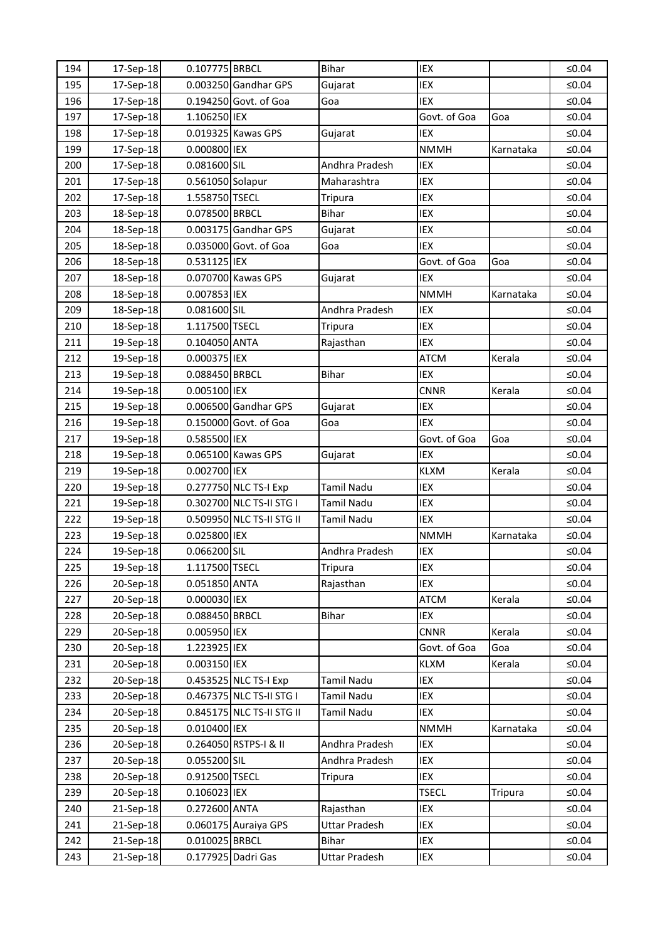| 194 | 17-Sep-18 | 0.107775 BRBCL   |                           | <b>Bihar</b>         | IEX          |           | ≤ $0.04$ |
|-----|-----------|------------------|---------------------------|----------------------|--------------|-----------|----------|
| 195 | 17-Sep-18 |                  | 0.003250 Gandhar GPS      | Gujarat              | IEX          |           | $≤0.04$  |
| 196 | 17-Sep-18 |                  | 0.194250 Govt. of Goa     | Goa                  | IEX          |           | $≤0.04$  |
| 197 | 17-Sep-18 | 1.106250 IEX     |                           |                      | Govt. of Goa | Goa       | ≤ $0.04$ |
| 198 | 17-Sep-18 |                  | 0.019325 Kawas GPS        | Gujarat              | IEX          |           | ≤ $0.04$ |
| 199 | 17-Sep-18 | 0.000800 IEX     |                           |                      | <b>NMMH</b>  | Karnataka | ≤ $0.04$ |
| 200 | 17-Sep-18 | 0.081600 SIL     |                           | Andhra Pradesh       | IEX          |           | $≤0.04$  |
| 201 | 17-Sep-18 | 0.561050 Solapur |                           | Maharashtra          | IEX          |           | $≤0.04$  |
| 202 | 17-Sep-18 | 1.558750 TSECL   |                           | Tripura              | IEX          |           | ≤0.04    |
| 203 | 18-Sep-18 | 0.078500 BRBCL   |                           | <b>Bihar</b>         | IEX          |           | ≤ $0.04$ |
| 204 | 18-Sep-18 |                  | 0.003175 Gandhar GPS      | Gujarat              | IEX          |           | ≤ $0.04$ |
| 205 | 18-Sep-18 |                  | 0.035000 Govt. of Goa     | Goa                  | IEX          |           | ≤ $0.04$ |
| 206 | 18-Sep-18 | 0.531125 IEX     |                           |                      | Govt. of Goa | Goa       | $≤0.04$  |
| 207 | 18-Sep-18 |                  | 0.070700 Kawas GPS        | Gujarat              | IEX          |           | $≤0.04$  |
| 208 | 18-Sep-18 | 0.007853 IEX     |                           |                      | <b>NMMH</b>  | Karnataka | $≤0.04$  |
| 209 | 18-Sep-18 | 0.081600 SIL     |                           | Andhra Pradesh       | IEX          |           | ≤ $0.04$ |
| 210 | 18-Sep-18 | 1.117500 TSECL   |                           | <b>Tripura</b>       | IEX          |           | ≤0.04    |
| 211 | 19-Sep-18 | 0.104050 ANTA    |                           | Rajasthan            | IEX          |           | $≤0.04$  |
| 212 | 19-Sep-18 | 0.000375 IEX     |                           |                      | <b>ATCM</b>  | Kerala    | ≤ $0.04$ |
| 213 | 19-Sep-18 | 0.088450 BRBCL   |                           | <b>Bihar</b>         | IEX          |           | ≤ $0.04$ |
| 214 | 19-Sep-18 | 0.005100 IEX     |                           |                      | <b>CNNR</b>  | Kerala    | ≤ $0.04$ |
| 215 | 19-Sep-18 |                  | 0.006500 Gandhar GPS      | Gujarat              | IEX          |           | $≤0.04$  |
| 216 | 19-Sep-18 |                  | 0.150000 Govt. of Goa     | Goa                  | IEX          |           | $≤0.04$  |
| 217 | 19-Sep-18 | 0.585500 IEX     |                           |                      | Govt. of Goa | Goa       | ≤ $0.04$ |
| 218 | 19-Sep-18 |                  | 0.065100 Kawas GPS        | Gujarat              | IEX          |           | $≤0.04$  |
| 219 | 19-Sep-18 | 0.002700 IEX     |                           |                      | <b>KLXM</b>  | Kerala    | ≤ $0.04$ |
| 220 | 19-Sep-18 |                  | 0.277750 NLC TS-I Exp     | <b>Tamil Nadu</b>    | IEX          |           | $≤0.04$  |
| 221 | 19-Sep-18 |                  | 0.302700 NLC TS-II STG I  | Tamil Nadu           | IEX          |           | $≤0.04$  |
| 222 | 19-Sep-18 |                  | 0.509950 NLC TS-II STG II | Tamil Nadu           | IEX          |           | ≤ $0.04$ |
| 223 | 19-Sep-18 | 0.025800 IEX     |                           |                      | <b>NMMH</b>  | Karnataka | ≤ $0.04$ |
| 224 | 19-Sep-18 | 0.066200 SIL     |                           | Andhra Pradesh       | IEX          |           | ≤0.04    |
| 225 | 19-Sep-18 | 1.117500 TSECL   |                           | Tripura              | IEX          |           | $≤0.04$  |
| 226 | 20-Sep-18 | 0.051850 ANTA    |                           | Rajasthan            | IEX          |           | ≤ $0.04$ |
| 227 | 20-Sep-18 | 0.000030 IEX     |                           |                      | <b>ATCM</b>  | Kerala    | $≤0.04$  |
| 228 | 20-Sep-18 | 0.088450 BRBCL   |                           | <b>Bihar</b>         | IEX          |           | ≤ $0.04$ |
| 229 | 20-Sep-18 | 0.005950 IEX     |                           |                      | <b>CNNR</b>  | Kerala    | ≤ $0.04$ |
| 230 | 20-Sep-18 | 1.223925 IEX     |                           |                      | Govt. of Goa | Goa       | $≤0.04$  |
| 231 | 20-Sep-18 | 0.003150 IEX     |                           |                      | <b>KLXM</b>  | Kerala    | ≤ $0.04$ |
| 232 | 20-Sep-18 |                  | 0.453525 NLC TS-I Exp     | Tamil Nadu           | IEX          |           | ≤ $0.04$ |
| 233 | 20-Sep-18 |                  | 0.467375 NLC TS-II STG I  | Tamil Nadu           | IEX          |           | ≤ $0.04$ |
| 234 | 20-Sep-18 |                  | 0.845175 NLC TS-II STG II | Tamil Nadu           | IEX          |           | ≤ $0.04$ |
| 235 | 20-Sep-18 | 0.010400 IEX     |                           |                      | <b>NMMH</b>  | Karnataka | ≤ $0.04$ |
| 236 | 20-Sep-18 |                  | 0.264050 RSTPS-I & II     | Andhra Pradesh       | IEX          |           | ≤ $0.04$ |
| 237 | 20-Sep-18 | 0.055200 SIL     |                           | Andhra Pradesh       | IEX          |           | $≤0.04$  |
| 238 | 20-Sep-18 | 0.912500 TSECL   |                           | Tripura              | IEX          |           | ≤ $0.04$ |
| 239 | 20-Sep-18 | 0.106023 IEX     |                           |                      | <b>TSECL</b> | Tripura   | ≤ $0.04$ |
| 240 | 21-Sep-18 | 0.272600 ANTA    |                           | Rajasthan            | IEX          |           | ≤ $0.04$ |
| 241 | 21-Sep-18 |                  | 0.060175 Auraiya GPS      | <b>Uttar Pradesh</b> | IEX          |           | ≤ $0.04$ |
| 242 | 21-Sep-18 | 0.010025 BRBCL   |                           | <b>Bihar</b>         | IEX          |           | ≤ $0.04$ |
| 243 | 21-Sep-18 |                  | 0.177925 Dadri Gas        | Uttar Pradesh        | IEX          |           | ≤0.04    |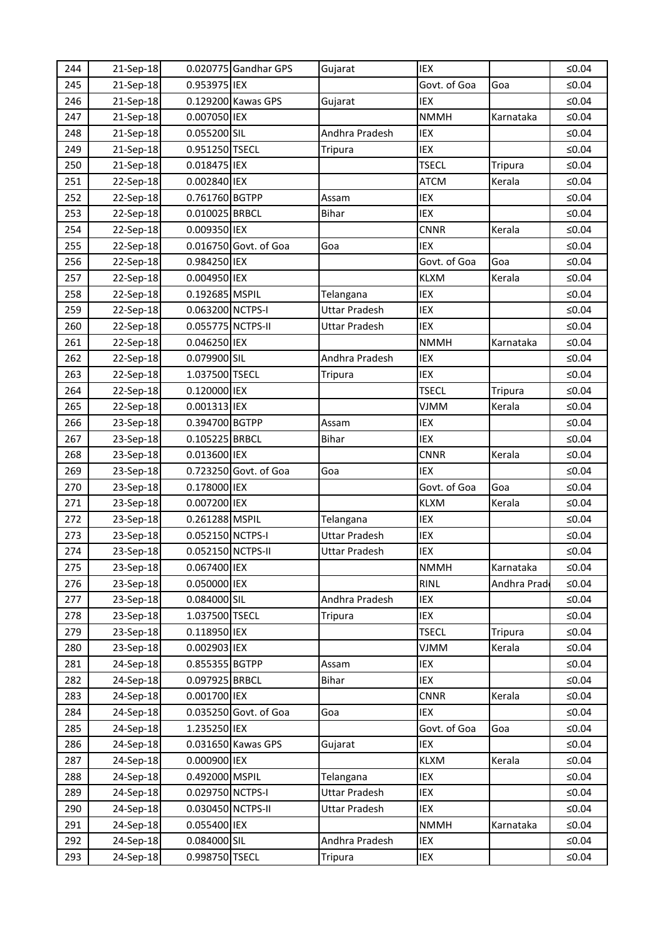| 244 | 21-Sep-18 |                   | 0.020775 Gandhar GPS  | Gujarat              | IEX          |                | ≤ $0.04$ |
|-----|-----------|-------------------|-----------------------|----------------------|--------------|----------------|----------|
| 245 | 21-Sep-18 | 0.953975 IEX      |                       |                      | Govt. of Goa | Goa            | ≤ $0.04$ |
| 246 | 21-Sep-18 |                   | 0.129200 Kawas GPS    | Gujarat              | IEX          |                | $≤0.04$  |
| 247 | 21-Sep-18 | 0.007050 IEX      |                       |                      | <b>NMMH</b>  | Karnataka      | ≤ $0.04$ |
| 248 | 21-Sep-18 | 0.055200 SIL      |                       | Andhra Pradesh       | IEX          |                | ≤ $0.04$ |
| 249 | 21-Sep-18 | 0.951250 TSECL    |                       | Tripura              | IEX          |                | ≤ $0.04$ |
| 250 | 21-Sep-18 | 0.018475 IEX      |                       |                      | <b>TSECL</b> | <b>Tripura</b> | ≤ $0.04$ |
| 251 | 22-Sep-18 | 0.002840 IEX      |                       |                      | <b>ATCM</b>  | Kerala         | $≤0.04$  |
| 252 | 22-Sep-18 | 0.761760 BGTPP    |                       | Assam                | IEX          |                | $≤0.04$  |
| 253 | 22-Sep-18 | 0.010025 BRBCL    |                       | <b>Bihar</b>         | IEX          |                | ≤ $0.04$ |
| 254 | 22-Sep-18 | 0.009350 IEX      |                       |                      | <b>CNNR</b>  | Kerala         | ≤ $0.04$ |
| 255 | 22-Sep-18 |                   | 0.016750 Govt. of Goa | Goa                  | IEX          |                | ≤ $0.04$ |
| 256 | 22-Sep-18 | 0.984250 IEX      |                       |                      | Govt. of Goa | Goa            | ≤0.04    |
| 257 | 22-Sep-18 | 0.004950 IEX      |                       |                      | <b>KLXM</b>  | Kerala         | $≤0.04$  |
| 258 | 22-Sep-18 | 0.192685 MSPIL    |                       | Telangana            | IEX          |                | ≤ $0.04$ |
| 259 | 22-Sep-18 | 0.063200 NCTPS-I  |                       | <b>Uttar Pradesh</b> | IEX          |                | ≤0.04    |
| 260 | 22-Sep-18 | 0.055775 NCTPS-II |                       | <b>Uttar Pradesh</b> | <b>IEX</b>   |                | ≤ $0.04$ |
| 261 | 22-Sep-18 | 0.046250 IEX      |                       |                      | <b>NMMH</b>  | Karnataka      | ≤0.04    |
| 262 | 22-Sep-18 | 0.079900 SIL      |                       | Andhra Pradesh       | IEX          |                | ≤ $0.04$ |
| 263 | 22-Sep-18 | 1.037500 TSECL    |                       | Tripura              | IEX          |                | ≤ $0.04$ |
| 264 | 22-Sep-18 | 0.120000 IEX      |                       |                      | <b>TSECL</b> | Tripura        | ≤0.04    |
| 265 | 22-Sep-18 | 0.001313 IEX      |                       |                      | <b>VJMM</b>  | Kerala         | ≤ $0.04$ |
| 266 | 23-Sep-18 | 0.394700 BGTPP    |                       | Assam                | IEX          |                | $≤0.04$  |
| 267 | 23-Sep-18 | 0.105225 BRBCL    |                       | <b>Bihar</b>         | IEX          |                | ≤0.04    |
| 268 | 23-Sep-18 | 0.013600 IEX      |                       |                      | <b>CNNR</b>  | Kerala         | ≤0.04    |
| 269 | 23-Sep-18 |                   | 0.723250 Govt. of Goa | Goa                  | <b>IEX</b>   |                | ≤0.04    |
| 270 | 23-Sep-18 | 0.178000 IEX      |                       |                      | Govt. of Goa | Goa            | $≤0.04$  |
| 271 | 23-Sep-18 | 0.007200 IEX      |                       |                      | <b>KLXM</b>  | Kerala         | ≤0.04    |
| 272 | 23-Sep-18 | 0.261288 MSPIL    |                       | Telangana            | IEX          |                | ≤ $0.04$ |
| 273 | 23-Sep-18 | 0.052150 NCTPS-I  |                       | <b>Uttar Pradesh</b> | IEX          |                | ≤ $0.04$ |
| 274 | 23-Sep-18 | 0.052150 NCTPS-II |                       | <b>Uttar Pradesh</b> | IEX          |                | ≤0.04    |
| 275 | 23-Sep-18 | 0.067400 IEX      |                       |                      | <b>NMMH</b>  | Karnataka      | $≤0.04$  |
| 276 | 23-Sep-18 | 0.050000 IEX      |                       |                      | <b>RINL</b>  | Andhra Prad    | $≤0.04$  |
| 277 | 23-Sep-18 | 0.084000 SIL      |                       | Andhra Pradesh       | IEX          |                | $≤0.04$  |
| 278 | 23-Sep-18 | 1.037500 TSECL    |                       | Tripura              | IEX          |                | ≤ $0.04$ |
| 279 | 23-Sep-18 | 0.118950 IEX      |                       |                      | <b>TSECL</b> | Tripura        | ≤ $0.04$ |
| 280 | 23-Sep-18 | 0.002903 IEX      |                       |                      | <b>NMIV</b>  | Kerala         | $≤0.04$  |
| 281 | 24-Sep-18 | 0.855355 BGTPP    |                       | <b>Assam</b>         | IEX          |                | ≤ $0.04$ |
| 282 | 24-Sep-18 | 0.097925 BRBCL    |                       | <b>Bihar</b>         | IEX          |                | $≤0.04$  |
| 283 | 24-Sep-18 | 0.001700 IEX      |                       |                      | <b>CNNR</b>  | Kerala         | ≤ $0.04$ |
| 284 | 24-Sep-18 |                   | 0.035250 Govt. of Goa | Goa                  | IEX          |                | ≤ $0.04$ |
| 285 | 24-Sep-18 | 1.235250 IEX      |                       |                      | Govt. of Goa | Goa            | ≤ $0.04$ |
| 286 | 24-Sep-18 |                   | 0.031650 Kawas GPS    | Gujarat              | IEX          |                | ≤ $0.04$ |
| 287 | 24-Sep-18 | 0.000900 IEX      |                       |                      | <b>KLXM</b>  | Kerala         | $≤0.04$  |
| 288 | 24-Sep-18 | 0.492000 MSPIL    |                       | Telangana            | IEX          |                | ≤ $0.04$ |
| 289 | 24-Sep-18 | 0.029750 NCTPS-I  |                       | Uttar Pradesh        | IEX          |                | ≤ $0.04$ |
| 290 | 24-Sep-18 | 0.030450 NCTPS-II |                       | Uttar Pradesh        | IEX          |                | ≤ $0.04$ |
| 291 | 24-Sep-18 | 0.055400 IEX      |                       |                      | <b>NMMH</b>  | Karnataka      | ≤ $0.04$ |
| 292 | 24-Sep-18 | 0.084000 SIL      |                       | Andhra Pradesh       | IEX          |                | $≤0.04$  |
| 293 | 24-Sep-18 | 0.998750 TSECL    |                       | <b>Tripura</b>       | IEX          |                | ≤0.04    |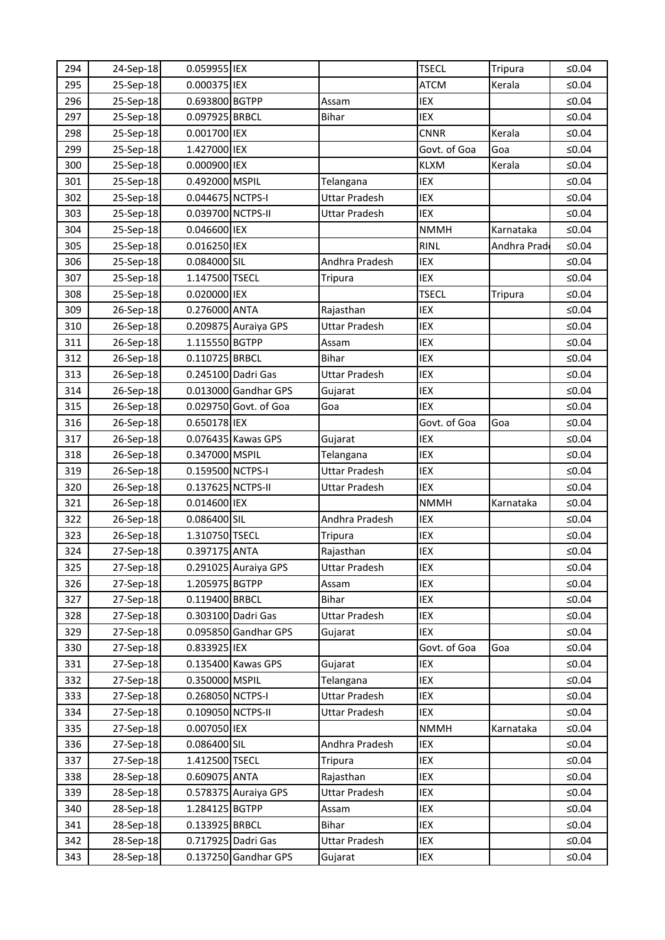| 294 | 24-Sep-18 | 0.059955 IEX      |                       |                      | <b>TSECL</b> | Tripura     | ≤ $0.04$ |
|-----|-----------|-------------------|-----------------------|----------------------|--------------|-------------|----------|
| 295 | 25-Sep-18 | 0.000375 IEX      |                       |                      | <b>ATCM</b>  | Kerala      | ≤0.04    |
| 296 | 25-Sep-18 | 0.693800 BGTPP    |                       | Assam                | IEX          |             | ≤0.04    |
| 297 | 25-Sep-18 | 0.097925 BRBCL    |                       | <b>Bihar</b>         | IEX          |             | $≤0.04$  |
| 298 | 25-Sep-18 | 0.001700 IEX      |                       |                      | <b>CNNR</b>  | Kerala      | ≤0.04    |
| 299 | 25-Sep-18 | 1.427000 IEX      |                       |                      | Govt. of Goa | Goa         | ≤ $0.04$ |
| 300 | 25-Sep-18 | 0.000900 IEX      |                       |                      | <b>KLXM</b>  | Kerala      | ≤0.04    |
| 301 | 25-Sep-18 | 0.492000 MSPIL    |                       | Telangana            | IEX          |             | ≤0.04    |
| 302 | 25-Sep-18 | 0.044675 NCTPS-I  |                       | <b>Uttar Pradesh</b> | IEX          |             | ≤ $0.04$ |
| 303 | 25-Sep-18 | 0.039700 NCTPS-II |                       | <b>Uttar Pradesh</b> | <b>IEX</b>   |             | ≤ $0.04$ |
| 304 | 25-Sep-18 | 0.046600 IEX      |                       |                      | <b>NMMH</b>  | Karnataka   | ≤ $0.04$ |
| 305 | 25-Sep-18 | 0.016250 IEX      |                       |                      | <b>RINL</b>  | Andhra Prad | ≤0.04    |
| 306 | 25-Sep-18 | 0.084000 SIL      |                       | Andhra Pradesh       | IEX          |             | ≤0.04    |
| 307 | 25-Sep-18 | 1.147500 TSECL    |                       | <b>Tripura</b>       | IEX          |             | ≤ $0.04$ |
| 308 | 25-Sep-18 | 0.020000 IEX      |                       |                      | <b>TSECL</b> | Tripura     | ≤0.04    |
| 309 | 26-Sep-18 | 0.276000 ANTA     |                       | Rajasthan            | IEX          |             | ≤ $0.04$ |
| 310 | 26-Sep-18 |                   | 0.209875 Auraiya GPS  | Uttar Pradesh        | IEX          |             | ≤0.04    |
| 311 | 26-Sep-18 | 1.115550 BGTPP    |                       | Assam                | IEX          |             | ≤0.04    |
| 312 | 26-Sep-18 | 0.110725 BRBCL    |                       | <b>Bihar</b>         | IEX          |             | ≤ $0.04$ |
| 313 | 26-Sep-18 |                   | 0.245100 Dadri Gas    | <b>Uttar Pradesh</b> | IEX          |             | ≤0.04    |
| 314 | 26-Sep-18 |                   | 0.013000 Gandhar GPS  | Gujarat              | IEX          |             | $≤0.04$  |
| 315 | 26-Sep-18 |                   | 0.029750 Govt. of Goa | Goa                  | <b>IEX</b>   |             | ≤ $0.04$ |
| 316 | 26-Sep-18 | 0.650178 IEX      |                       |                      | Govt. of Goa | Goa         | ≤ $0.04$ |
| 317 | 26-Sep-18 |                   | 0.076435 Kawas GPS    | Gujarat              | IEX          |             | $≤0.04$  |
| 318 | 26-Sep-18 | 0.347000 MSPIL    |                       | Telangana            | <b>IEX</b>   |             | ≤ $0.04$ |
| 319 | 26-Sep-18 | 0.159500 NCTPS-I  |                       | <b>Uttar Pradesh</b> | IEX          |             | $≤0.04$  |
| 320 | 26-Sep-18 | 0.137625 NCTPS-II |                       | <b>Uttar Pradesh</b> | IEX          |             | ≤ $0.04$ |
| 321 | 26-Sep-18 | 0.014600 IEX      |                       |                      | <b>NMMH</b>  | Karnataka   | ≤ $0.04$ |
| 322 | 26-Sep-18 | 0.086400 SIL      |                       | Andhra Pradesh       | IEX          |             | $≤0.04$  |
| 323 | 26-Sep-18 | 1.310750 TSECL    |                       | <b>Tripura</b>       | IEX          |             | ≤ $0.04$ |
| 324 | 27-Sep-18 | 0.397175 ANTA     |                       | Rajasthan            | IEX          |             | ≤0.04    |
| 325 | 27-Sep-18 |                   | 0.291025 Auraiya GPS  | Uttar Pradesh        | IEX          |             | $≤0.04$  |
| 326 | 27-Sep-18 | 1.205975 BGTPP    |                       | Assam                | IEX          |             | ≤ $0.04$ |
| 327 | 27-Sep-18 | 0.119400 BRBCL    |                       | <b>Bihar</b>         | IEX          |             | $≤0.04$  |
| 328 | 27-Sep-18 |                   | 0.303100 Dadri Gas    | <b>Uttar Pradesh</b> | IEX          |             | ≤ $0.04$ |
| 329 | 27-Sep-18 |                   | 0.095850 Gandhar GPS  | Gujarat              | IEX          |             | ≤ $0.04$ |
| 330 | 27-Sep-18 | 0.833925 IEX      |                       |                      | Govt. of Goa | Goa         | ≤ $0.04$ |
| 331 | 27-Sep-18 |                   | 0.135400 Kawas GPS    | Gujarat              | IEX          |             | ≤ $0.04$ |
| 332 | 27-Sep-18 | 0.350000 MSPIL    |                       | Telangana            | IEX          |             | $≤0.04$  |
| 333 | 27-Sep-18 | 0.268050 NCTPS-I  |                       | <b>Uttar Pradesh</b> | IEX          |             | ≤ $0.04$ |
| 334 | 27-Sep-18 | 0.109050 NCTPS-II |                       | Uttar Pradesh        | IEX          |             | ≤ $0.04$ |
| 335 | 27-Sep-18 | 0.007050 IEX      |                       |                      | <b>NMMH</b>  | Karnataka   | ≤ $0.04$ |
| 336 | 27-Sep-18 | 0.086400 SIL      |                       | Andhra Pradesh       | IEX          |             | ≤ $0.04$ |
| 337 | 27-Sep-18 | 1.412500 TSECL    |                       | <b>Tripura</b>       | IEX          |             | $≤0.04$  |
| 338 | 28-Sep-18 | 0.609075 ANTA     |                       | Rajasthan            | IEX          |             | ≤ $0.04$ |
| 339 | 28-Sep-18 |                   | 0.578375 Auraiya GPS  | <b>Uttar Pradesh</b> | IEX          |             | ≤0.04    |
| 340 | 28-Sep-18 | 1.284125 BGTPP    |                       | Assam                | IEX          |             | ≤ $0.04$ |
| 341 | 28-Sep-18 | 0.133925 BRBCL    |                       | Bihar                | IEX          |             | ≤ $0.04$ |
| 342 | 28-Sep-18 |                   | 0.717925 Dadri Gas    | Uttar Pradesh        | IEX          |             | $≤0.04$  |
| 343 | 28-Sep-18 |                   | 0.137250 Gandhar GPS  | Gujarat              | IEX          |             | ≤ $0.04$ |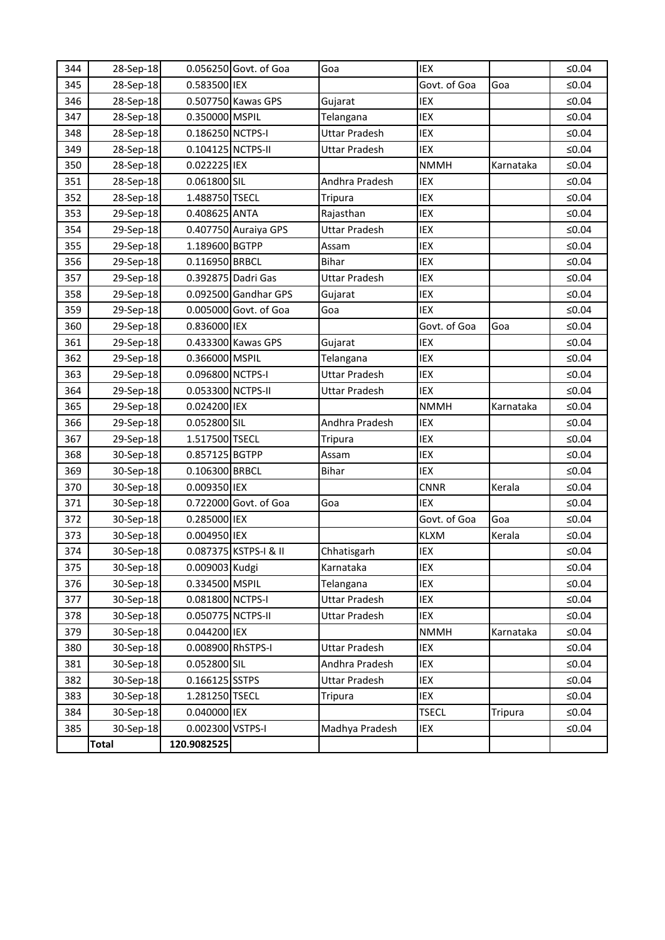| 344 | 28-Sep-18    |                   | 0.056250 Govt. of Goa | Goa                  | <b>IEX</b>   |           | $≤0.04$  |
|-----|--------------|-------------------|-----------------------|----------------------|--------------|-----------|----------|
| 345 | 28-Sep-18    | 0.583500 IEX      |                       |                      | Govt. of Goa | Goa       | ≤ $0.04$ |
| 346 | 28-Sep-18    |                   | 0.507750 Kawas GPS    | Gujarat              | IEX          |           | ≤ $0.04$ |
| 347 | 28-Sep-18    | 0.350000 MSPIL    |                       | Telangana            | IEX          |           | $≤0.04$  |
| 348 | 28-Sep-18    | 0.186250 NCTPS-I  |                       | <b>Uttar Pradesh</b> | IEX          |           | ≤ $0.04$ |
| 349 | 28-Sep-18    | 0.104125 NCTPS-II |                       | <b>Uttar Pradesh</b> | IEX          |           | $≤0.04$  |
| 350 | 28-Sep-18    | 0.022225 IEX      |                       |                      | <b>NMMH</b>  | Karnataka | ≤0.04    |
| 351 | 28-Sep-18    | 0.061800 SIL      |                       | Andhra Pradesh       | IEX          |           | ≤ $0.04$ |
| 352 | 28-Sep-18    | 1.488750 TSECL    |                       | <b>Tripura</b>       | IEX          |           | $≤0.04$  |
| 353 | 29-Sep-18    | 0.408625 ANTA     |                       | Rajasthan            | IEX          |           | ≤ $0.04$ |
| 354 | 29-Sep-18    |                   | 0.407750 Auraiya GPS  | <b>Uttar Pradesh</b> | IEX          |           | $≤0.04$  |
| 355 | 29-Sep-18    | 1.189600 BGTPP    |                       | Assam                | IEX          |           | ≤ $0.04$ |
| 356 | 29-Sep-18    | 0.116950 BRBCL    |                       | <b>Bihar</b>         | IEX          |           | ≤ $0.04$ |
| 357 | 29-Sep-18    |                   | 0.392875 Dadri Gas    | <b>Uttar Pradesh</b> | IEX          |           | $≤0.04$  |
| 358 | 29-Sep-18    |                   | 0.092500 Gandhar GPS  | Gujarat              | IEX          |           | ≤ $0.04$ |
| 359 | 29-Sep-18    |                   | 0.005000 Govt. of Goa | Goa                  | IEX          |           | $≤0.04$  |
| 360 | 29-Sep-18    | 0.836000 IEX      |                       |                      | Govt. of Goa | Goa       | ≤0.04    |
| 361 | 29-Sep-18    |                   | 0.433300 Kawas GPS    | Gujarat              | IEX          |           | ≤ $0.04$ |
| 362 | 29-Sep-18    | 0.366000 MSPIL    |                       | Telangana            | IEX          |           | $≤0.04$  |
| 363 | 29-Sep-18    | 0.096800 NCTPS-I  |                       | <b>Uttar Pradesh</b> | IEX          |           | ≤ $0.04$ |
| 364 | 29-Sep-18    | 0.053300 NCTPS-II |                       | <b>Uttar Pradesh</b> | IEX          |           | ≤ $0.04$ |
| 365 | 29-Sep-18    | 0.024200 IEX      |                       |                      | <b>NMMH</b>  | Karnataka | ≤0.04    |
| 366 | 29-Sep-18    | 0.052800 SIL      |                       | Andhra Pradesh       | IEX          |           | ≤ $0.04$ |
| 367 | 29-Sep-18    | 1.517500 TSECL    |                       | Tripura              | IEX          |           | ≤ $0.04$ |
| 368 | 30-Sep-18    | 0.857125 BGTPP    |                       | Assam                | IEX          |           | ≤ $0.04$ |
| 369 | 30-Sep-18    | 0.106300 BRBCL    |                       | <b>Bihar</b>         | IEX          |           | ≤ $0.04$ |
| 370 | 30-Sep-18    | 0.009350 IEX      |                       |                      | <b>CNNR</b>  | Kerala    | ≤0.04    |
| 371 | 30-Sep-18    |                   | 0.722000 Govt. of Goa | Goa                  | IEX          |           | ≤ $0.04$ |
| 372 | 30-Sep-18    | 0.285000 IEX      |                       |                      | Govt. of Goa | Goa       | $≤0.04$  |
| 373 | 30-Sep-18    | 0.004950 IEX      |                       |                      | <b>KLXM</b>  | Kerala    | $≤0.04$  |
| 374 | 30-Sep-18    |                   | 0.087375 KSTPS-I & II | Chhatisgarh          | IEX          |           | $≤0.04$  |
| 375 | 30-Sep-18    | 0.009003 Kudgi    |                       | Karnataka            | IEX          |           | $≤0.04$  |
| 376 | 30-Sep-18    | 0.334500 MSPIL    |                       | Telangana            | IEX          |           | ≤ $0.04$ |
| 377 | 30-Sep-18    | 0.081800 NCTPS-I  |                       | <b>Uttar Pradesh</b> | IEX          |           | $≤0.04$  |
| 378 | 30-Sep-18    | 0.050775 NCTPS-II |                       | <b>Uttar Pradesh</b> | IEX          |           | ≤ $0.04$ |
| 379 | 30-Sep-18    | 0.044200 IEX      |                       |                      | <b>NMMH</b>  | Karnataka | ≤0.04    |
| 380 | 30-Sep-18    | 0.008900 RhSTPS-I |                       | <b>Uttar Pradesh</b> | IEX          |           | $≤0.04$  |
| 381 | 30-Sep-18    | 0.052800 SIL      |                       | Andhra Pradesh       | IEX          |           | ≤0.04    |
| 382 | 30-Sep-18    | 0.166125 SSTPS    |                       | <b>Uttar Pradesh</b> | IEX          |           | $≤0.04$  |
| 383 | 30-Sep-18    | 1.281250 TSECL    |                       | Tripura              | IEX          |           | ≤ $0.04$ |
| 384 | 30-Sep-18    | 0.040000 IEX      |                       |                      | <b>TSECL</b> | Tripura   | $≤0.04$  |
| 385 | 30-Sep-18    | 0.002300 VSTPS-I  |                       | Madhya Pradesh       | IEX          |           | $≤0.04$  |
|     | <b>Total</b> | 120.9082525       |                       |                      |              |           |          |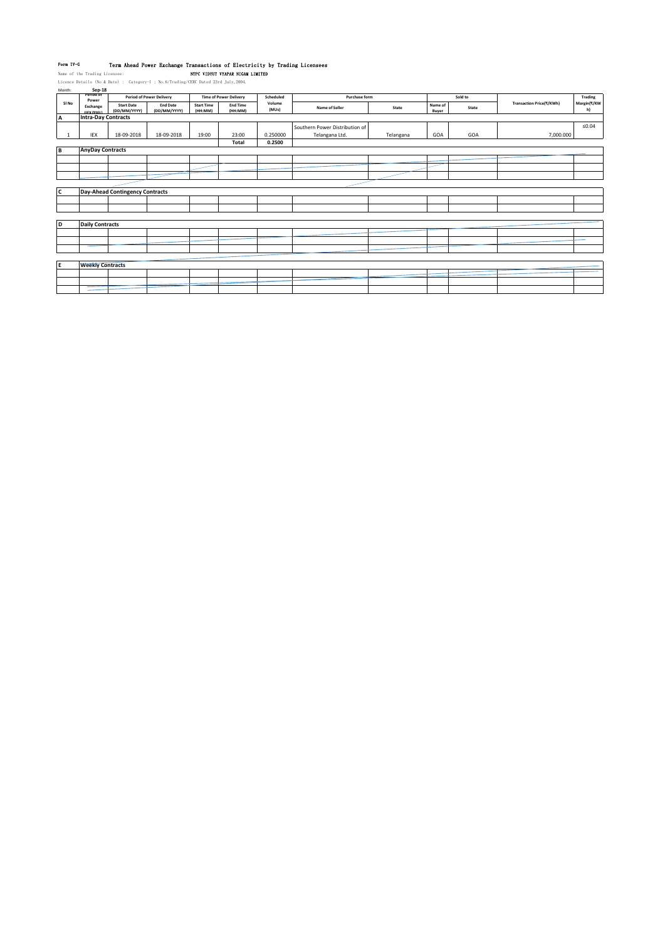**Form IV-G – Term Ahead Power Exchange Transactions of Electricity by Trading Licensees<br>Name of the Trading Licensee: Least Commencer Comment States Read Least Read Least Commence Commence Commence<br>Licence Details (No 4 Da** 

| Month: | Sep-18                     |                                        |                                 |                              |                               |                 |                                |           |                  |         |                          |                   |
|--------|----------------------------|----------------------------------------|---------------------------------|------------------------------|-------------------------------|-----------------|--------------------------------|-----------|------------------|---------|--------------------------|-------------------|
|        | Period of<br>Power         |                                        | <b>Period of Power Delivery</b> |                              | <b>Time of Power Delivery</b> | Scheduled       | Purchase form                  |           |                  | Sold to |                          | Trading           |
| SI No  | Exchange<br>(IFX/PXIL)     | <b>Start Date</b><br>(DD/MM/YYYY)      | <b>End Date</b><br>(DD/MM/YYYY) | <b>Start Time</b><br>(HH:MM) | <b>End Time</b><br>(HH:MM)    | Volume<br>(MUs) | Name of Seller                 | State     | Name of<br>Buyer | State   | Transaction Price(₹/KWh) | Margin(₹/KW<br>h) |
| A      | <b>Intra-Day Contracts</b> |                                        |                                 |                              |                               |                 |                                |           |                  |         |                          |                   |
|        |                            |                                        |                                 |                              |                               |                 | Southern Power Distribution of |           |                  |         |                          | $\leq 0.04$       |
|        | IEX                        | 18-09-2018                             | 18-09-2018                      | 19:00                        | 23:00                         | 0.250000        | Telangana Ltd.                 | Telangana | GOA              | GOA     | 7,000.000                |                   |
|        |                            |                                        |                                 |                              | Total                         | 0.2500          |                                |           |                  |         |                          |                   |
| B      | <b>AnyDay Contracts</b>    |                                        |                                 |                              |                               |                 |                                |           |                  |         |                          |                   |
|        |                            |                                        |                                 |                              |                               |                 |                                |           |                  |         |                          |                   |
|        |                            |                                        |                                 |                              |                               |                 |                                |           |                  |         |                          |                   |
|        |                            |                                        |                                 |                              |                               |                 |                                |           |                  |         |                          |                   |
|        |                            |                                        |                                 |                              |                               |                 |                                |           |                  |         |                          |                   |
| C      |                            | <b>Day-Ahead Contingency Contracts</b> |                                 |                              |                               |                 |                                |           |                  |         |                          |                   |
|        |                            |                                        |                                 |                              |                               |                 |                                |           |                  |         |                          |                   |
|        |                            |                                        |                                 |                              |                               |                 |                                |           |                  |         |                          |                   |
|        |                            |                                        |                                 |                              |                               |                 |                                |           |                  |         |                          |                   |
| D      | <b>Daily Contracts</b>     |                                        |                                 |                              |                               |                 |                                |           |                  |         |                          |                   |
|        |                            |                                        |                                 |                              |                               |                 |                                |           |                  |         |                          |                   |
|        |                            |                                        |                                 |                              |                               |                 |                                |           |                  |         |                          |                   |
|        |                            |                                        |                                 |                              |                               |                 |                                |           |                  |         |                          |                   |
|        |                            |                                        |                                 |                              |                               |                 |                                |           |                  |         |                          |                   |
| E      | <b>Weekly Contracts</b>    |                                        |                                 |                              |                               |                 |                                |           |                  |         |                          |                   |
|        |                            |                                        |                                 |                              |                               |                 |                                |           |                  |         |                          |                   |
|        |                            |                                        |                                 |                              |                               |                 |                                |           |                  |         |                          |                   |
|        |                            |                                        |                                 |                              |                               |                 |                                |           |                  |         |                          |                   |
|        |                            |                                        |                                 |                              |                               |                 |                                |           |                  |         |                          |                   |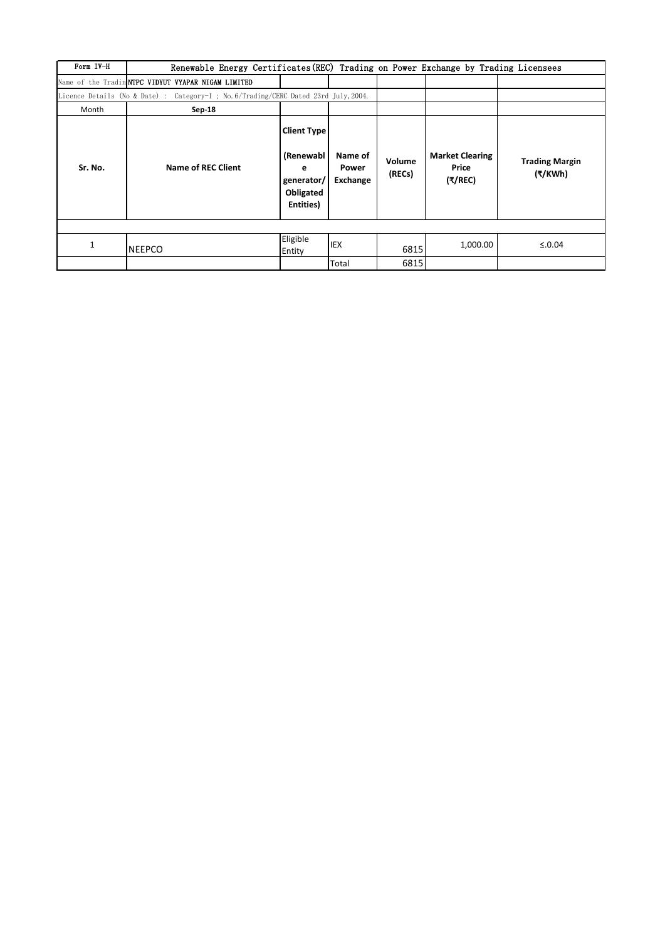| Form IV-H | Renewable Energy Certificates (REC) Trading on Power Exchange by Trading Licensees   |                                                                              |                              |                  |                                            |                                  |  |
|-----------|--------------------------------------------------------------------------------------|------------------------------------------------------------------------------|------------------------------|------------------|--------------------------------------------|----------------------------------|--|
|           | Name of the Tradin NTPC VIDYUT VYAPAR NIGAM LIMITED                                  |                                                                              |                              |                  |                                            |                                  |  |
|           | Licence Details (No & Date) : Category-I ; No. 6/Trading/CERC Dated 23rd July, 2004. |                                                                              |                              |                  |                                            |                                  |  |
| Month     | Sep-18                                                                               |                                                                              |                              |                  |                                            |                                  |  |
| Sr. No.   | Name of REC Client                                                                   | <b>Client Type</b><br>(Renewabl<br>е<br>generator/<br>Obligated<br>Entities) | Name of<br>Power<br>Exchange | Volume<br>(RECs) | <b>Market Clearing</b><br>Price<br>(₹/REC) | <b>Trading Margin</b><br>(₹/KWh) |  |
|           |                                                                                      |                                                                              |                              |                  |                                            |                                  |  |
| 1         | <b>NEEPCO</b>                                                                        | Eligible<br>Entity                                                           | <b>IEX</b>                   | 6815             | 1,000.00                                   | ≤.0.04                           |  |
|           |                                                                                      |                                                                              | Total                        | 6815             |                                            |                                  |  |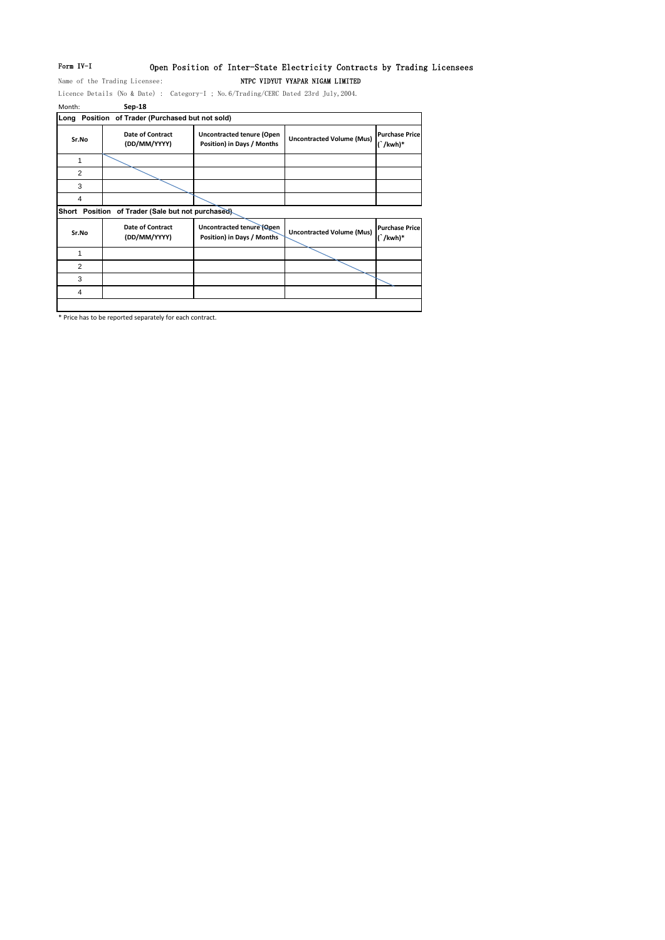# Form IV-I Open Position of Inter-State Electricity Contracts by Trading Licensees

Name of the Trading Licensee: NTPC VIDYUT VYAPAR NIGAM LIMITED

Licence Details (No & Date) : Category-I ; No.6/Trading/CERC Dated 23rd July,2004. Month: **Sep-18**

|                | Long Position of Trader (Purchased but not sold)   |                                                                |                                  |                                        |
|----------------|----------------------------------------------------|----------------------------------------------------------------|----------------------------------|----------------------------------------|
| Sr.No          | <b>Date of Contract</b><br>(DD/MM/YYYY)            | <b>Uncontracted tenure (Open</b><br>Position) in Days / Months | <b>Uncontracted Volume (Mus)</b> | <b>Purchase Price</b><br>$\int$ /kwh)* |
| 1              |                                                    |                                                                |                                  |                                        |
| 2              |                                                    |                                                                |                                  |                                        |
| 3              |                                                    |                                                                |                                  |                                        |
| 4              |                                                    |                                                                |                                  |                                        |
|                | Short Position of Trader (Sale but not purchased). |                                                                |                                  |                                        |
| Sr.No          | <b>Date of Contract</b><br>(DD/MM/YYYY)            | Uncontracted tenure (Open<br>Position) in Days / Months        | <b>Uncontracted Volume (Mus)</b> | <b>Purchase Price</b><br>$\int$ /kwh)* |
| 1              |                                                    |                                                                |                                  |                                        |
| $\overline{2}$ |                                                    |                                                                |                                  |                                        |
| 3              |                                                    |                                                                |                                  |                                        |
| 4              |                                                    |                                                                |                                  |                                        |
|                |                                                    |                                                                |                                  |                                        |

\* Price has to be reported separately for each contract.